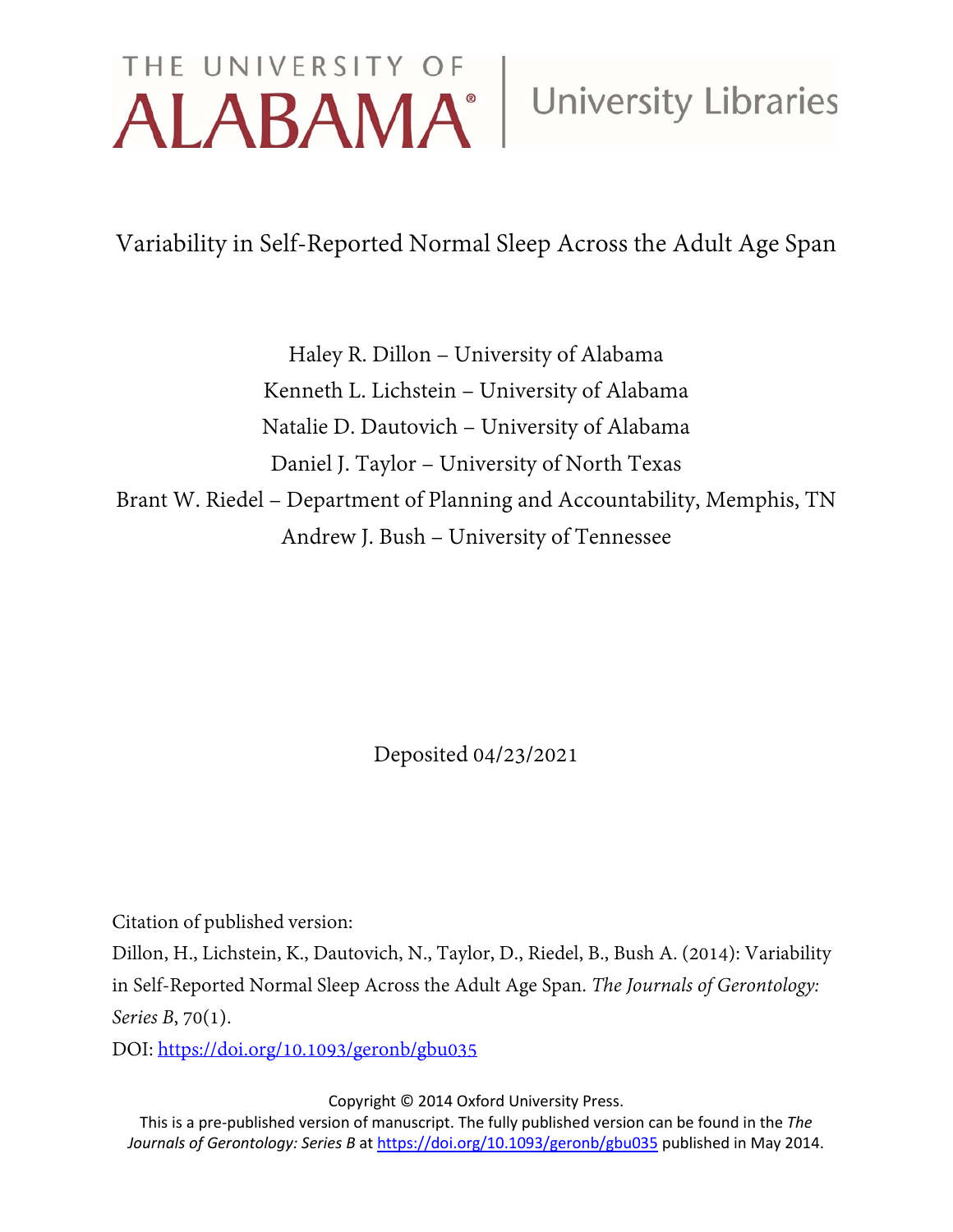# THE UNIVERSITY OF University Libraries

Variability in Self-Reported Normal Sleep Across the Adult Age Span

Haley R. Dillon – University of Alabama Kenneth L. Lichstein – University of Alabama Natalie D. Dautovich – University of Alabama Daniel J. Taylor – University of North Texas Brant W. Riedel – Department of Planning and Accountability, Memphis, TN Andrew J. Bush – University of Tennessee

Deposited 04/23/2021

Citation of published version:

Dillon, H., Lichstein, K., Dautovich, N., Taylor, D., Riedel, B., Bush A. (2014): Variability in Self-Reported Normal Sleep Across the Adult Age Span. *The Journals of Gerontology: Series B*, 70(1).

DOI:<https://doi.org/10.1093/geronb/gbu035>

Copyright © 2014 Oxford University Press.

This is a pre-published version of manuscript. The fully published version can be found in the *The Journals of Gerontology: Series B* at<https://doi.org/10.1093/geronb/gbu035> published in May 2014.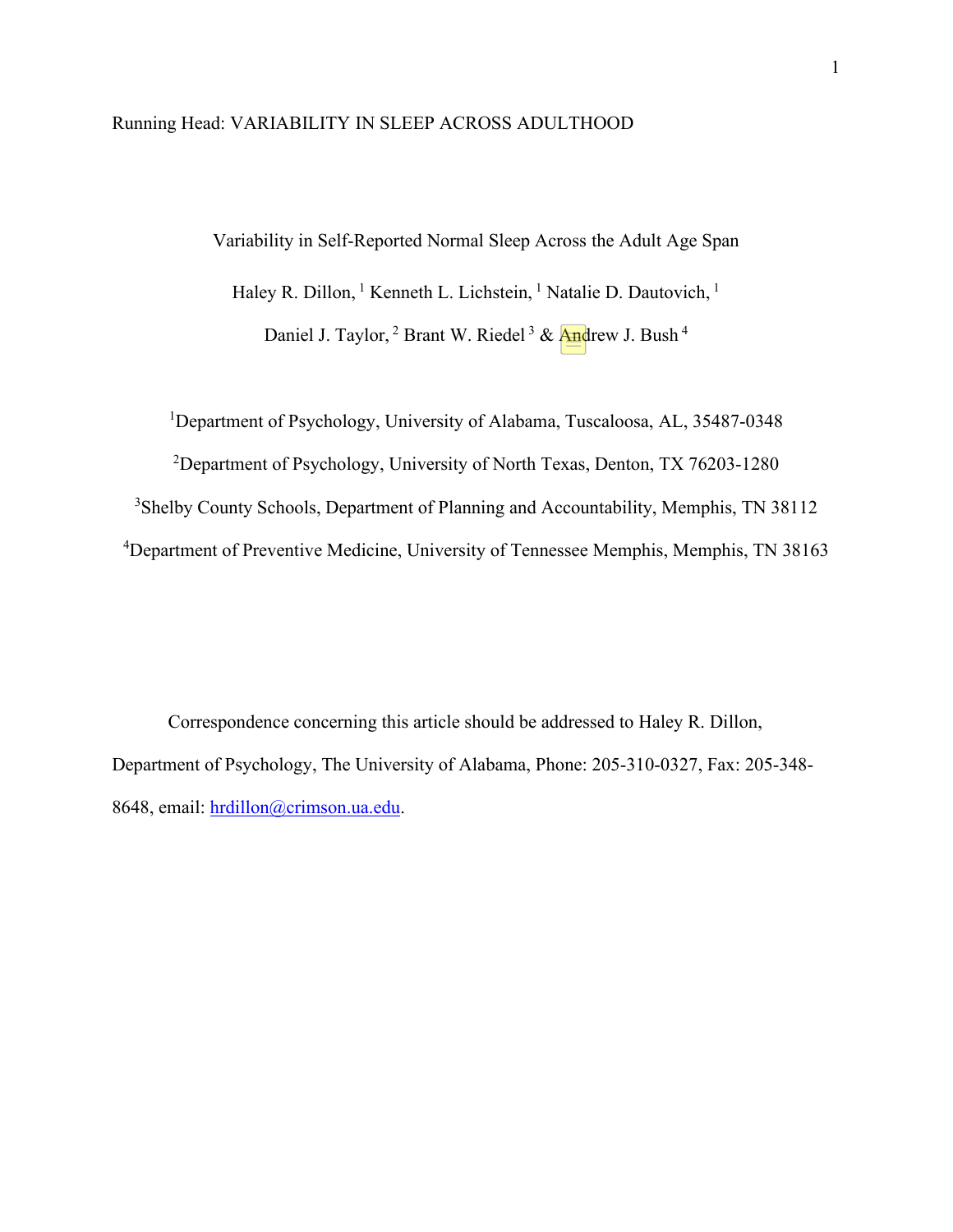#### Running Head: VARIABILITY IN SLEEP ACROSS ADULTHOOD

Variability in Self-Reported Normal Sleep Across the Adult Age Span

Haley R. Dillon, <sup>1</sup> Kenneth L. Lichstein, <sup>1</sup> Natalie D. Dautovich, <sup>1</sup>

Daniel J. Taylor, <sup>2</sup> Brant W. Riedel<sup>3</sup> & Andrew J. Bush<sup>4</sup>

<sup>1</sup>Department of Psychology, University of Alabama, Tuscaloosa, AL, 35487-0348

<sup>2</sup>Department of Psychology, University of North Texas, Denton, TX 76203-1280

3 Shelby County Schools, Department of Planning and Accountability, Memphis, TN 38112

<sup>4</sup>Department of Preventive Medicine, University of Tennessee Memphis, Memphis, TN 38163

Correspondence concerning this article should be addressed to Haley R. Dillon, Department of Psychology, The University of Alabama, Phone: 205-310-0327, Fax: 205-348- 8648, email: [hrdillon@crimson.ua.edu.](mailto:hrdillon@crimson.ua.edu)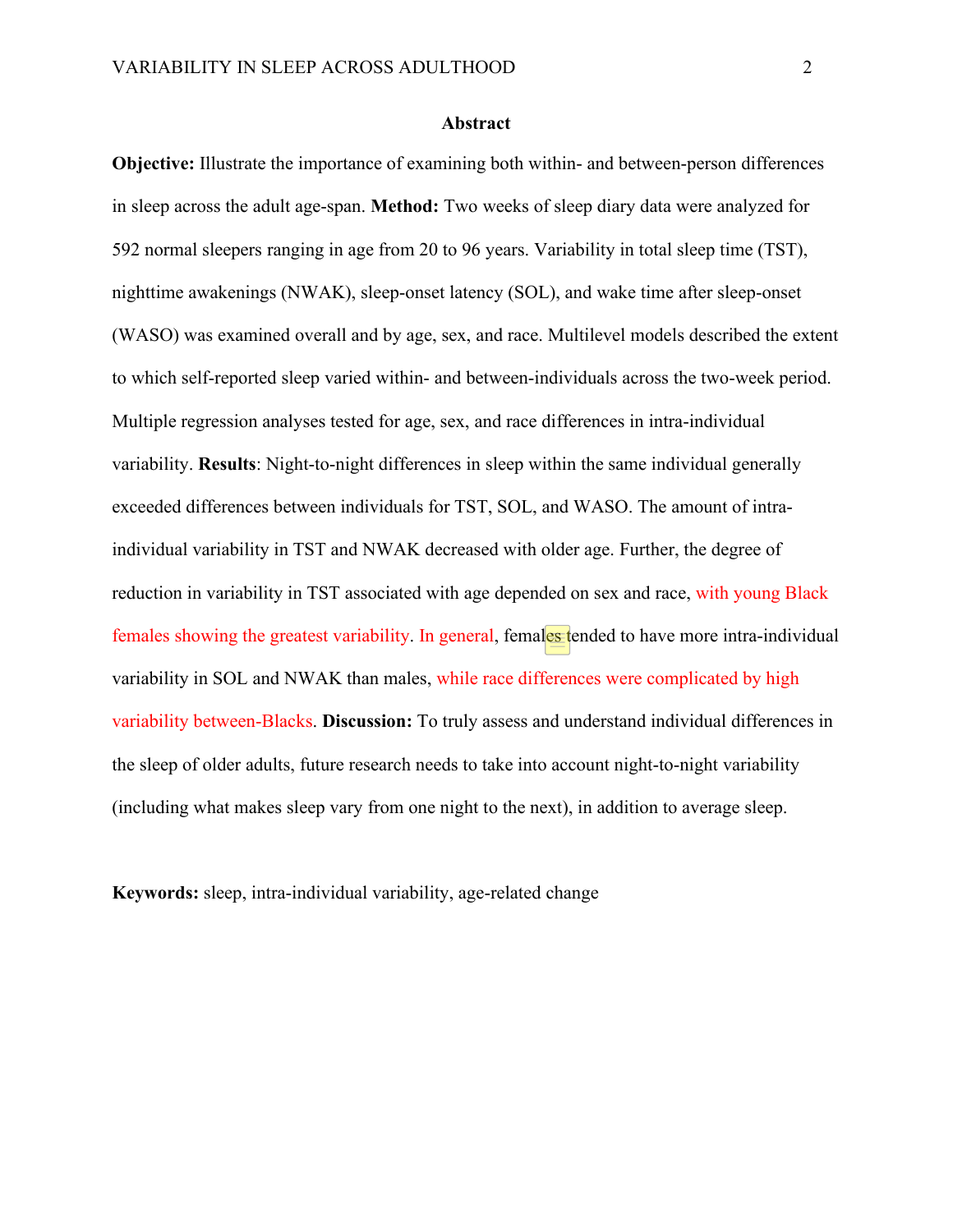#### **Abstract**

**Objective:** Illustrate the importance of examining both within- and between-person differences in sleep across the adult age-span. **Method:** Two weeks of sleep diary data were analyzed for 592 normal sleepers ranging in age from 20 to 96 years. Variability in total sleep time (TST), nighttime awakenings (NWAK), sleep-onset latency (SOL), and wake time after sleep-onset (WASO) was examined overall and by age, sex, and race. Multilevel models described the extent to which self-reported sleep varied within- and between-individuals across the two-week period. Multiple regression analyses tested for age, sex, and race differences in intra-individual variability. **Results**: Night-to-night differences in sleep within the same individual generally exceeded differences between individuals for TST, SOL, and WASO. The amount of intraindividual variability in TST and NWAK decreased with older age. Further, the degree of reduction in variability in TST associated with age depended on sex and race, with young Black females showing the greatest variability. In general, females tended to have more intra-individual variability in SOL and NWAK than males, while race differences were complicated by high variability between-Blacks. **Discussion:** To truly assess and understand individual differences in the sleep of older adults, future research needs to take into account night-to-night variability (including what makes sleep vary from one night to the next), in addition to average sleep.

**Keywords:** sleep, intra-individual variability, age-related change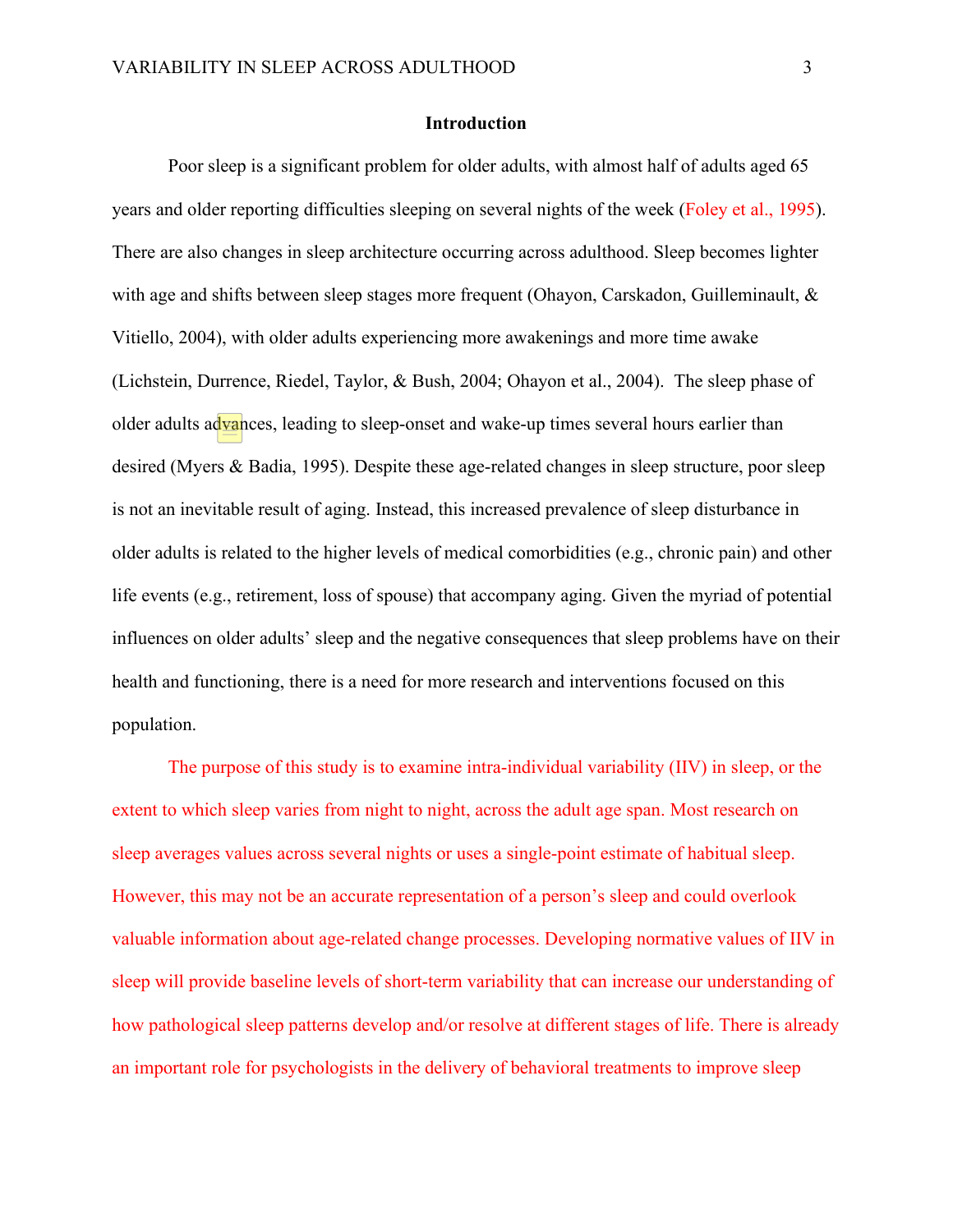#### **Introduction**

Poor sleep is a significant problem for older adults, with almost half of adults aged 65 years and older reporting difficulties sleeping on several nights of the week (Foley et al., 1995). There are also changes in sleep architecture occurring across adulthood. Sleep becomes lighter with age and shifts between sleep stages more frequent (Ohayon, Carskadon, Guilleminault, & Vitiello, 2004), with older adults experiencing more awakenings and more time awake (Lichstein, Durrence, Riedel, Taylor, & Bush, 2004; Ohayon et al., 2004). The sleep phase of older adults advances, leading to sleep-onset and wake-up times several hours earlier than desired (Myers & Badia, 1995). Despite these age-related changes in sleep structure, poor sleep is not an inevitable result of aging. Instead, this increased prevalence of sleep disturbance in older adults is related to the higher levels of medical comorbidities (e.g., chronic pain) and other life events (e.g., retirement, loss of spouse) that accompany aging. Given the myriad of potential influences on older adults' sleep and the negative consequences that sleep problems have on their health and functioning, there is a need for more research and interventions focused on this population.

The purpose of this study is to examine intra-individual variability (IIV) in sleep, or the extent to which sleep varies from night to night, across the adult age span. Most research on sleep averages values across several nights or uses a single-point estimate of habitual sleep. However, this may not be an accurate representation of a person's sleep and could overlook valuable information about age-related change processes. Developing normative values of IIV in sleep will provide baseline levels of short-term variability that can increase our understanding of how pathological sleep patterns develop and/or resolve at different stages of life. There is already an important role for psychologists in the delivery of behavioral treatments to improve sleep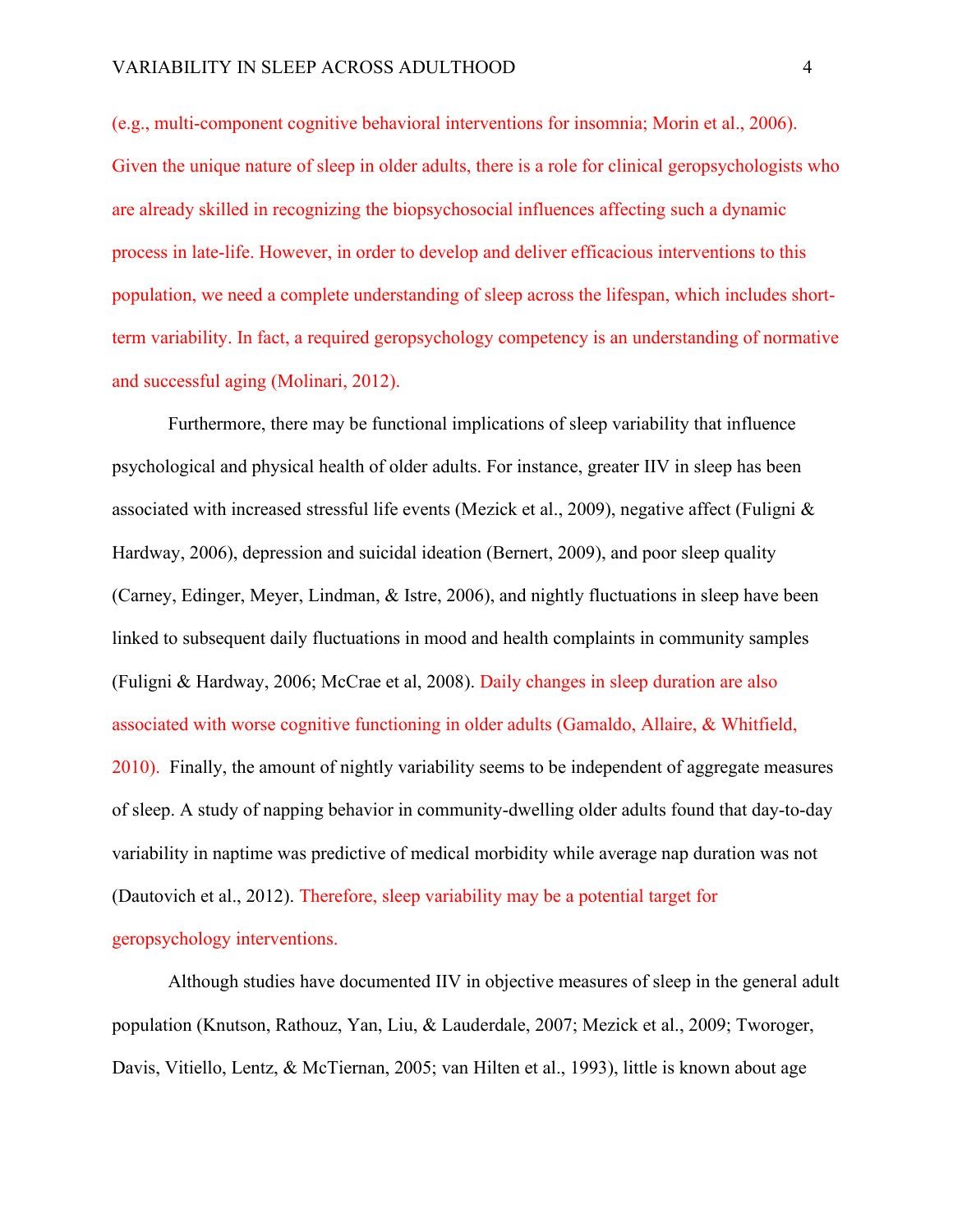(e.g., multi-component cognitive behavioral interventions for insomnia; Morin et al., 2006). Given the unique nature of sleep in older adults, there is a role for clinical geropsychologists who are already skilled in recognizing the biopsychosocial influences affecting such a dynamic process in late-life. However, in order to develop and deliver efficacious interventions to this population, we need a complete understanding of sleep across the lifespan, which includes shortterm variability. In fact, a required geropsychology competency is an understanding of normative and successful aging (Molinari, 2012).

Furthermore, there may be functional implications of sleep variability that influence psychological and physical health of older adults. For instance, greater IIV in sleep has been associated with increased stressful life events (Mezick et al., 2009), negative affect (Fuligni & Hardway, 2006), depression and suicidal ideation (Bernert, 2009), and poor sleep quality (Carney, Edinger, Meyer, Lindman, & Istre, 2006), and nightly fluctuations in sleep have been linked to subsequent daily fluctuations in mood and health complaints in community samples (Fuligni & Hardway, 2006; McCrae et al, 2008). Daily changes in sleep duration are also associated with worse cognitive functioning in older adults (Gamaldo, Allaire, & Whitfield, 2010). Finally, the amount of nightly variability seems to be independent of aggregate measures of sleep. A study of napping behavior in community-dwelling older adults found that day-to-day variability in naptime was predictive of medical morbidity while average nap duration was not (Dautovich et al., 2012). Therefore, sleep variability may be a potential target for geropsychology interventions.

Although studies have documented IIV in objective measures of sleep in the general adult population (Knutson, Rathouz, Yan, Liu, & Lauderdale, 2007; Mezick et al., 2009; Tworoger, Davis, Vitiello, Lentz, & McTiernan, 2005; van Hilten et al., 1993), little is known about age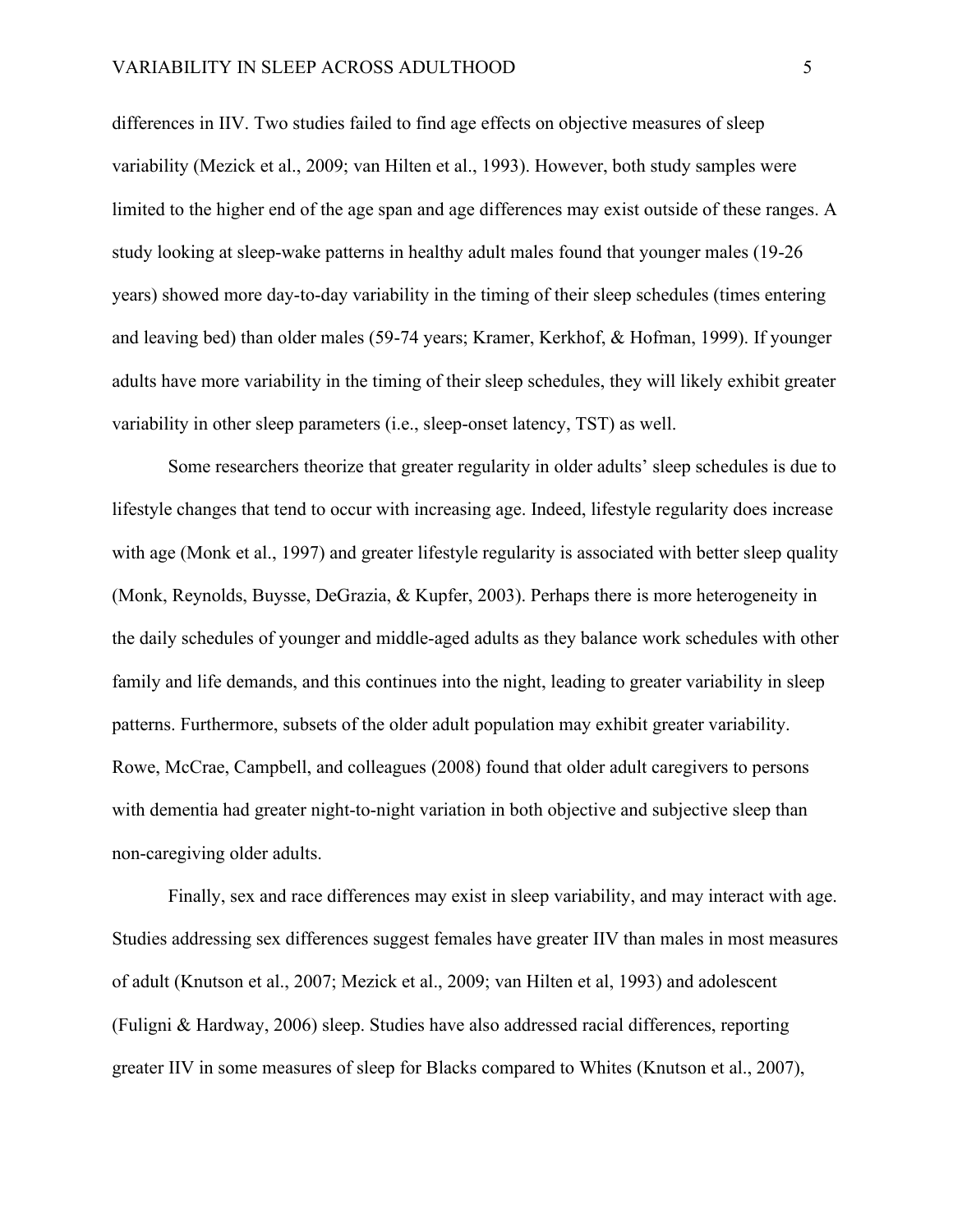differences in IIV. Two studies failed to find age effects on objective measures of sleep variability (Mezick et al., 2009; van Hilten et al., 1993). However, both study samples were limited to the higher end of the age span and age differences may exist outside of these ranges. A study looking at sleep-wake patterns in healthy adult males found that younger males (19-26 years) showed more day-to-day variability in the timing of their sleep schedules (times entering and leaving bed) than older males (59-74 years; Kramer, Kerkhof, & Hofman, 1999). If younger adults have more variability in the timing of their sleep schedules, they will likely exhibit greater variability in other sleep parameters (i.e., sleep-onset latency, TST) as well.

Some researchers theorize that greater regularity in older adults' sleep schedules is due to lifestyle changes that tend to occur with increasing age. Indeed, lifestyle regularity does increase with age (Monk et al., 1997) and greater lifestyle regularity is associated with better sleep quality (Monk, Reynolds, Buysse, DeGrazia, & Kupfer, 2003). Perhaps there is more heterogeneity in the daily schedules of younger and middle-aged adults as they balance work schedules with other family and life demands, and this continues into the night, leading to greater variability in sleep patterns. Furthermore, subsets of the older adult population may exhibit greater variability. Rowe, McCrae, Campbell, and colleagues (2008) found that older adult caregivers to persons with dementia had greater night-to-night variation in both objective and subjective sleep than non-caregiving older adults.

Finally, sex and race differences may exist in sleep variability, and may interact with age. Studies addressing sex differences suggest females have greater IIV than males in most measures of adult (Knutson et al., 2007; Mezick et al., 2009; van Hilten et al, 1993) and adolescent (Fuligni & Hardway, 2006) sleep. Studies have also addressed racial differences, reporting greater IIV in some measures of sleep for Blacks compared to Whites (Knutson et al., 2007),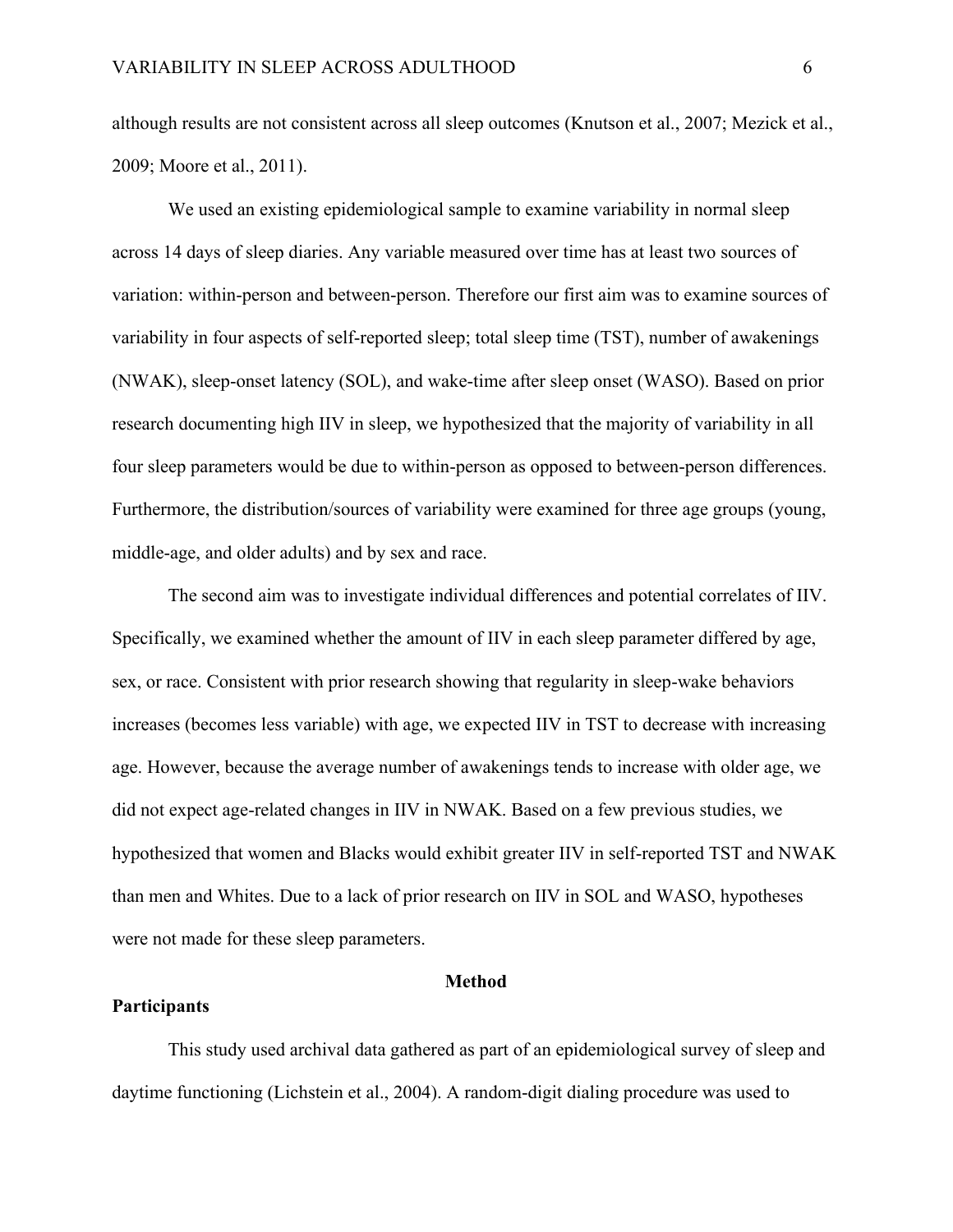although results are not consistent across all sleep outcomes (Knutson et al., 2007; Mezick et al., 2009; Moore et al., 2011).

We used an existing epidemiological sample to examine variability in normal sleep across 14 days of sleep diaries. Any variable measured over time has at least two sources of variation: within-person and between-person. Therefore our first aim was to examine sources of variability in four aspects of self-reported sleep; total sleep time (TST), number of awakenings (NWAK), sleep-onset latency (SOL), and wake-time after sleep onset (WASO). Based on prior research documenting high IIV in sleep, we hypothesized that the majority of variability in all four sleep parameters would be due to within-person as opposed to between-person differences. Furthermore, the distribution/sources of variability were examined for three age groups (young, middle-age, and older adults) and by sex and race.

The second aim was to investigate individual differences and potential correlates of IIV. Specifically, we examined whether the amount of IIV in each sleep parameter differed by age, sex, or race. Consistent with prior research showing that regularity in sleep-wake behaviors increases (becomes less variable) with age, we expected IIV in TST to decrease with increasing age. However, because the average number of awakenings tends to increase with older age, we did not expect age-related changes in IIV in NWAK. Based on a few previous studies, we hypothesized that women and Blacks would exhibit greater IIV in self-reported TST and NWAK than men and Whites. Due to a lack of prior research on IIV in SOL and WASO, hypotheses were not made for these sleep parameters.

#### **Method**

#### **Participants**

This study used archival data gathered as part of an epidemiological survey of sleep and daytime functioning (Lichstein et al., 2004). A random-digit dialing procedure was used to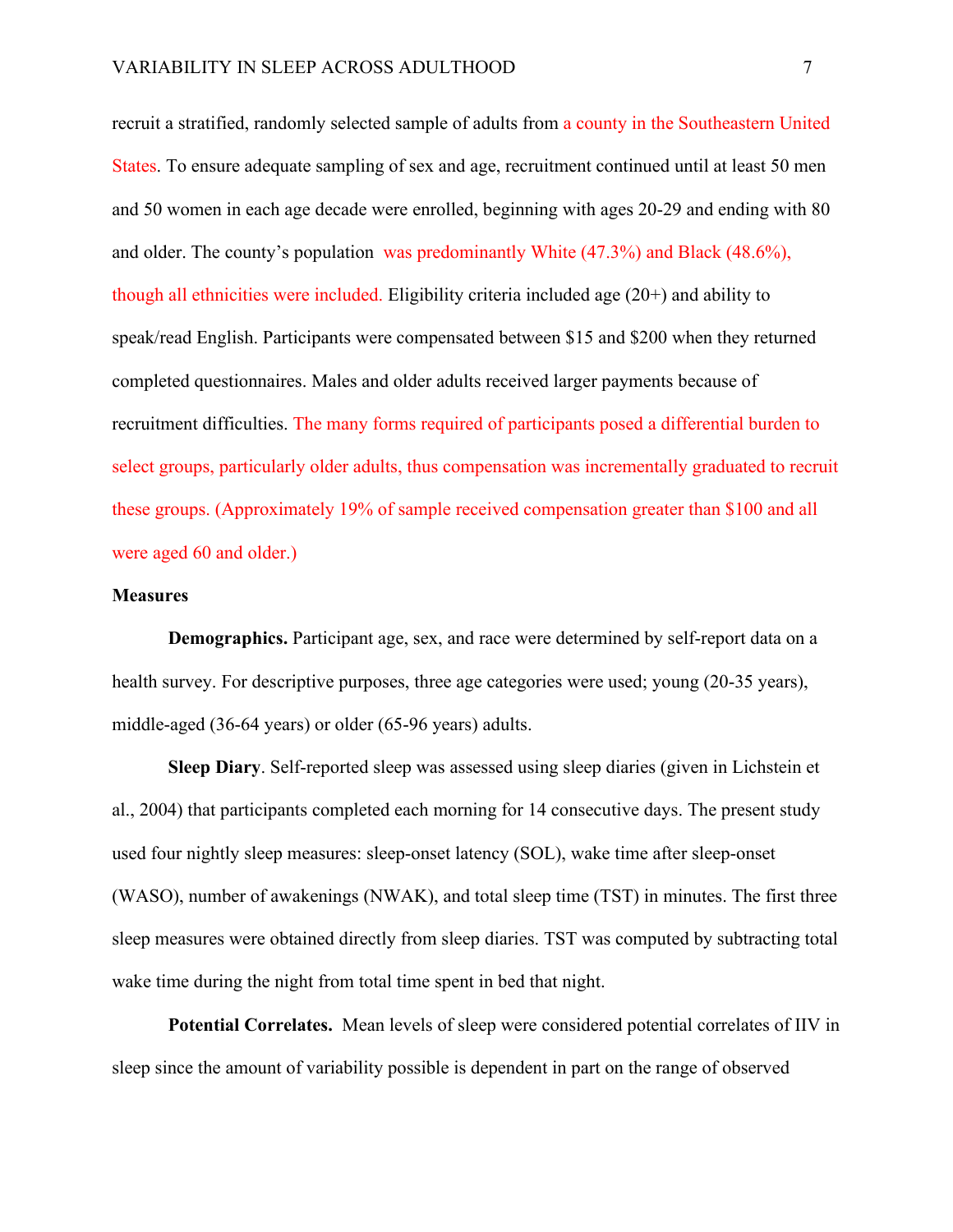recruit a stratified, randomly selected sample of adults from a county in the Southeastern United States. To ensure adequate sampling of sex and age, recruitment continued until at least 50 men and 50 women in each age decade were enrolled, beginning with ages 20-29 and ending with 80 and older. The county's population was predominantly White (47.3%) and Black (48.6%), though all ethnicities were included. Eligibility criteria included age (20+) and ability to speak/read English. Participants were compensated between \$15 and \$200 when they returned completed questionnaires. Males and older adults received larger payments because of recruitment difficulties. The many forms required of participants posed a differential burden to select groups, particularly older adults, thus compensation was incrementally graduated to recruit these groups. (Approximately 19% of sample received compensation greater than \$100 and all were aged 60 and older.)

#### **Measures**

**Demographics.** Participant age, sex, and race were determined by self-report data on a health survey. For descriptive purposes, three age categories were used; young (20-35 years), middle-aged (36-64 years) or older (65-96 years) adults.

**Sleep Diary**. Self-reported sleep was assessed using sleep diaries (given in Lichstein et al., 2004) that participants completed each morning for 14 consecutive days. The present study used four nightly sleep measures: sleep-onset latency (SOL), wake time after sleep-onset (WASO), number of awakenings (NWAK), and total sleep time (TST) in minutes. The first three sleep measures were obtained directly from sleep diaries. TST was computed by subtracting total wake time during the night from total time spent in bed that night.

**Potential Correlates.** Mean levels of sleep were considered potential correlates of IIV in sleep since the amount of variability possible is dependent in part on the range of observed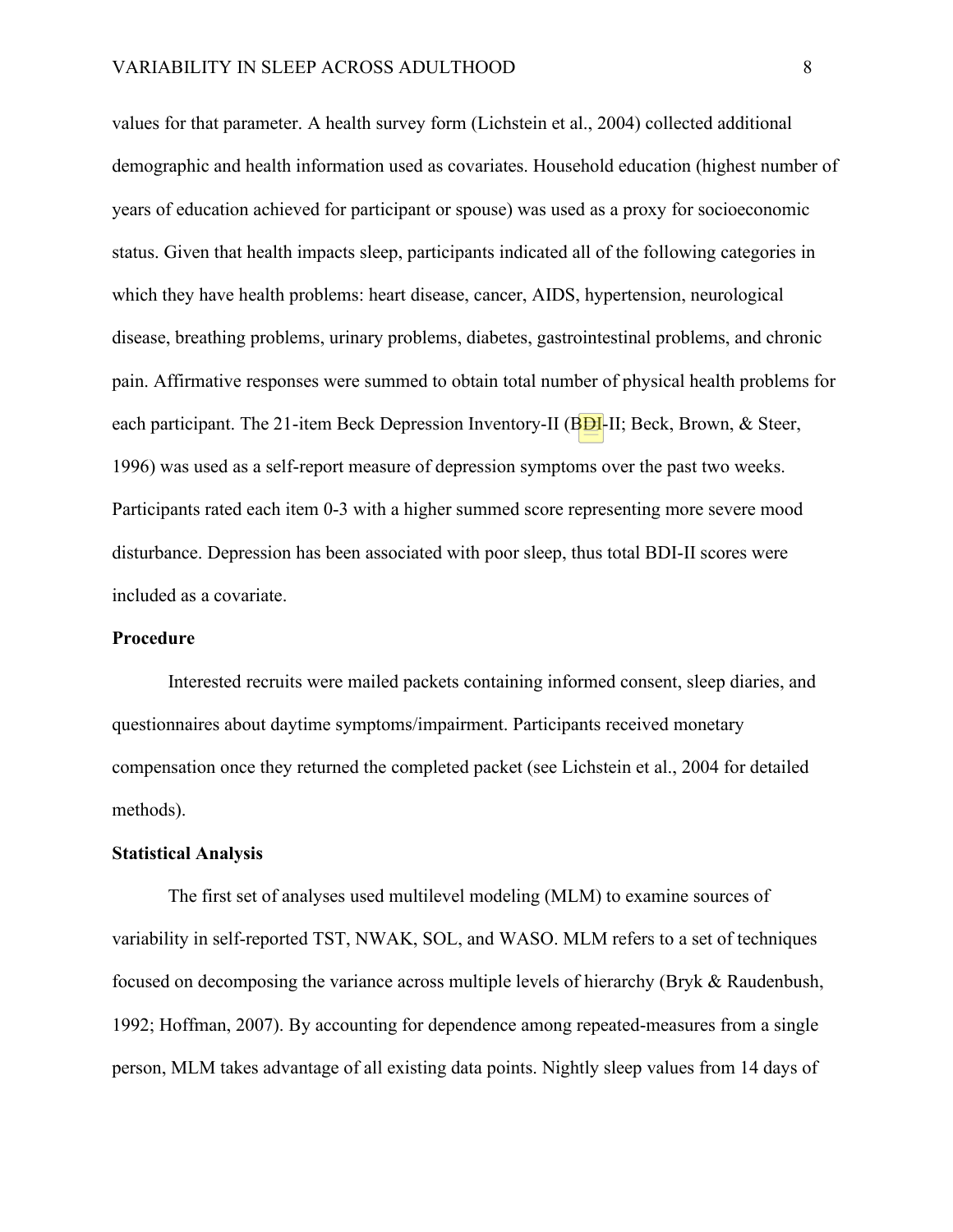values for that parameter. A health survey form (Lichstein et al., 2004) collected additional demographic and health information used as covariates. Household education (highest number of years of education achieved for participant or spouse) was used as a proxy for socioeconomic status. Given that health impacts sleep, participants indicated all of the following categories in which they have health problems: heart disease, cancer, AIDS, hypertension, neurological disease, breathing problems, urinary problems, diabetes, gastrointestinal problems, and chronic pain. Affirmative responses were summed to obtain total number of physical health problems for each participant. The 21-item Beck Depression Inventory-II ( $B\overline{D}I$ -II; Beck, Brown, & Steer, 1996) was used as a self-report measure of depression symptoms over the past two weeks. Participants rated each item 0-3 with a higher summed score representing more severe mood disturbance. Depression has been associated with poor sleep, thus total BDI-II scores were included as a covariate.

#### **Procedure**

Interested recruits were mailed packets containing informed consent, sleep diaries, and questionnaires about daytime symptoms/impairment. Participants received monetary compensation once they returned the completed packet (see Lichstein et al., 2004 for detailed methods).

#### **Statistical Analysis**

The first set of analyses used multilevel modeling (MLM) to examine sources of variability in self-reported TST, NWAK, SOL, and WASO. MLM refers to a set of techniques focused on decomposing the variance across multiple levels of hierarchy (Bryk & Raudenbush, 1992; Hoffman, 2007). By accounting for dependence among repeated-measures from a single person, MLM takes advantage of all existing data points. Nightly sleep values from 14 days of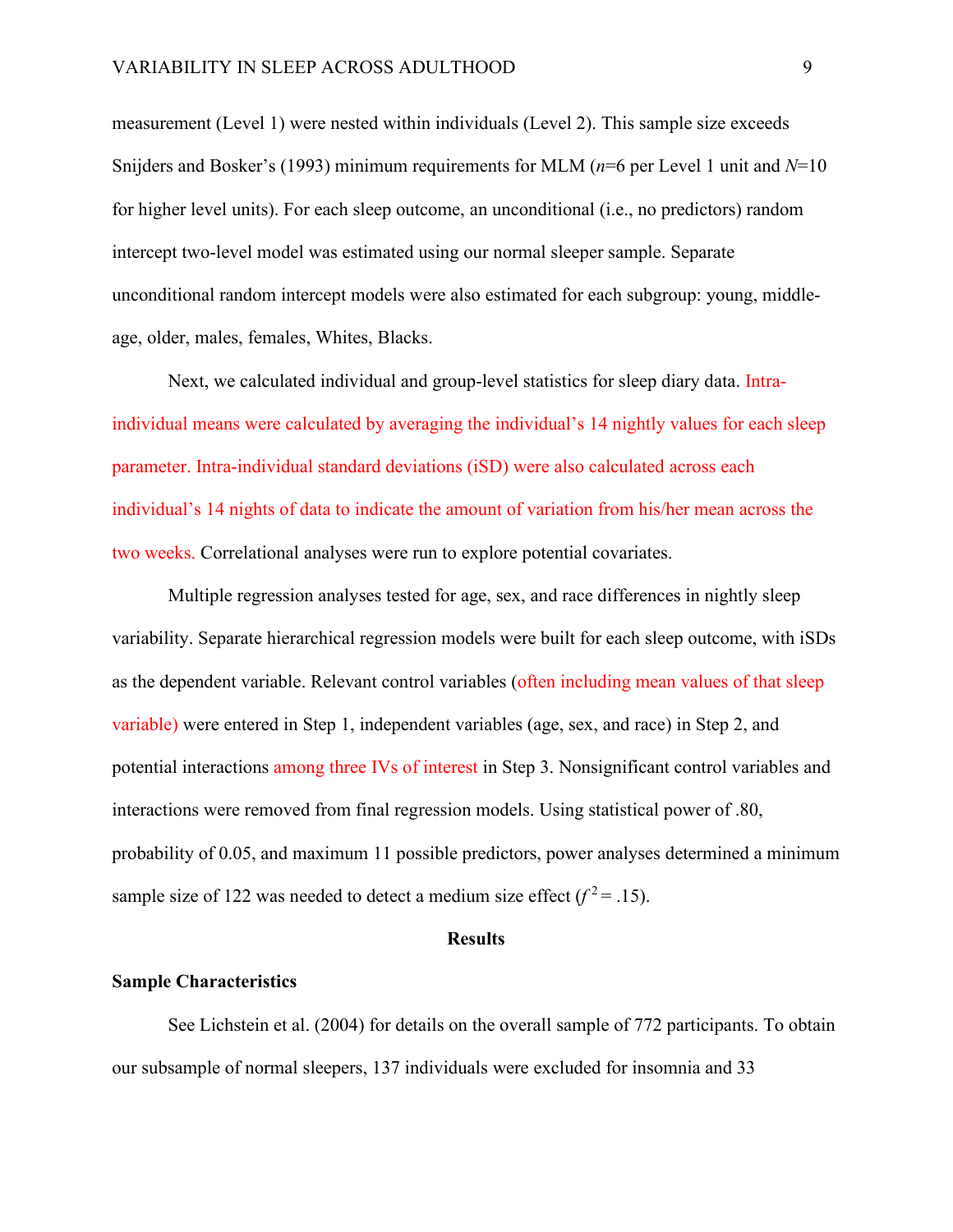measurement (Level 1) were nested within individuals (Level 2). This sample size exceeds Snijders and Bosker's (1993) minimum requirements for MLM (*n*=6 per Level 1 unit and *N*=10 for higher level units). For each sleep outcome, an unconditional (i.e., no predictors) random intercept two-level model was estimated using our normal sleeper sample. Separate unconditional random intercept models were also estimated for each subgroup: young, middleage, older, males, females, Whites, Blacks.

Next, we calculated individual and group-level statistics for sleep diary data. Intraindividual means were calculated by averaging the individual's 14 nightly values for each sleep parameter. Intra-individual standard deviations (iSD) were also calculated across each individual's 14 nights of data to indicate the amount of variation from his/her mean across the two weeks. Correlational analyses were run to explore potential covariates.

Multiple regression analyses tested for age, sex, and race differences in nightly sleep variability. Separate hierarchical regression models were built for each sleep outcome, with iSDs as the dependent variable. Relevant control variables (often including mean values of that sleep variable) were entered in Step 1, independent variables (age, sex, and race) in Step 2, and potential interactions among three IVs of interest in Step 3. Nonsignificant control variables and interactions were removed from final regression models. Using statistical power of .80, probability of 0.05, and maximum 11 possible predictors, power analyses determined a minimum sample size of 122 was needed to detect a medium size effect  $(f^2 = .15)$ .

#### **Results**

#### **Sample Characteristics**

See Lichstein et al. (2004) for details on the overall sample of 772 participants. To obtain our subsample of normal sleepers, 137 individuals were excluded for insomnia and 33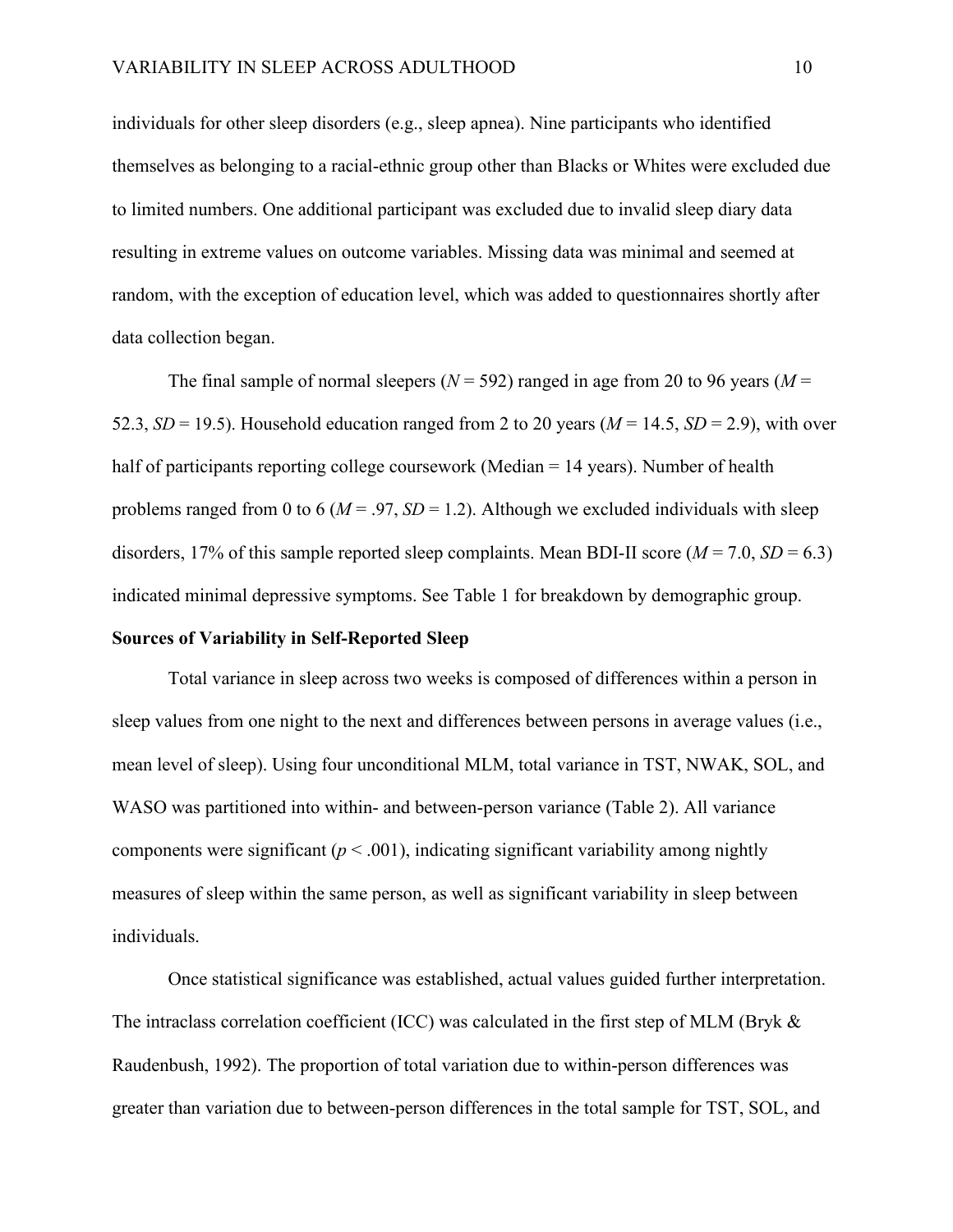individuals for other sleep disorders (e.g., sleep apnea). Nine participants who identified themselves as belonging to a racial-ethnic group other than Blacks or Whites were excluded due to limited numbers. One additional participant was excluded due to invalid sleep diary data resulting in extreme values on outcome variables. Missing data was minimal and seemed at random, with the exception of education level, which was added to questionnaires shortly after data collection began.

The final sample of normal sleepers ( $N = 592$ ) ranged in age from 20 to 96 years ( $M =$ 52.3,  $SD = 19.5$ ). Household education ranged from 2 to 20 years ( $M = 14.5$ ,  $SD = 2.9$ ), with over half of participants reporting college coursework (Median = 14 years). Number of health problems ranged from 0 to 6 ( $M = .97$ ,  $SD = 1.2$ ). Although we excluded individuals with sleep disorders, 17% of this sample reported sleep complaints. Mean BDI-II score  $(M = 7.0, SD = 6.3)$ indicated minimal depressive symptoms. See Table 1 for breakdown by demographic group.

#### **Sources of Variability in Self-Reported Sleep**

Total variance in sleep across two weeks is composed of differences within a person in sleep values from one night to the next and differences between persons in average values (i.e., mean level of sleep). Using four unconditional MLM, total variance in TST, NWAK, SOL, and WASO was partitioned into within- and between-person variance (Table 2). All variance components were significant  $(p < .001)$ , indicating significant variability among nightly measures of sleep within the same person, as well as significant variability in sleep between individuals.

Once statistical significance was established, actual values guided further interpretation. The intraclass correlation coefficient (ICC) was calculated in the first step of MLM (Bryk & Raudenbush, 1992). The proportion of total variation due to within-person differences was greater than variation due to between-person differences in the total sample for TST, SOL, and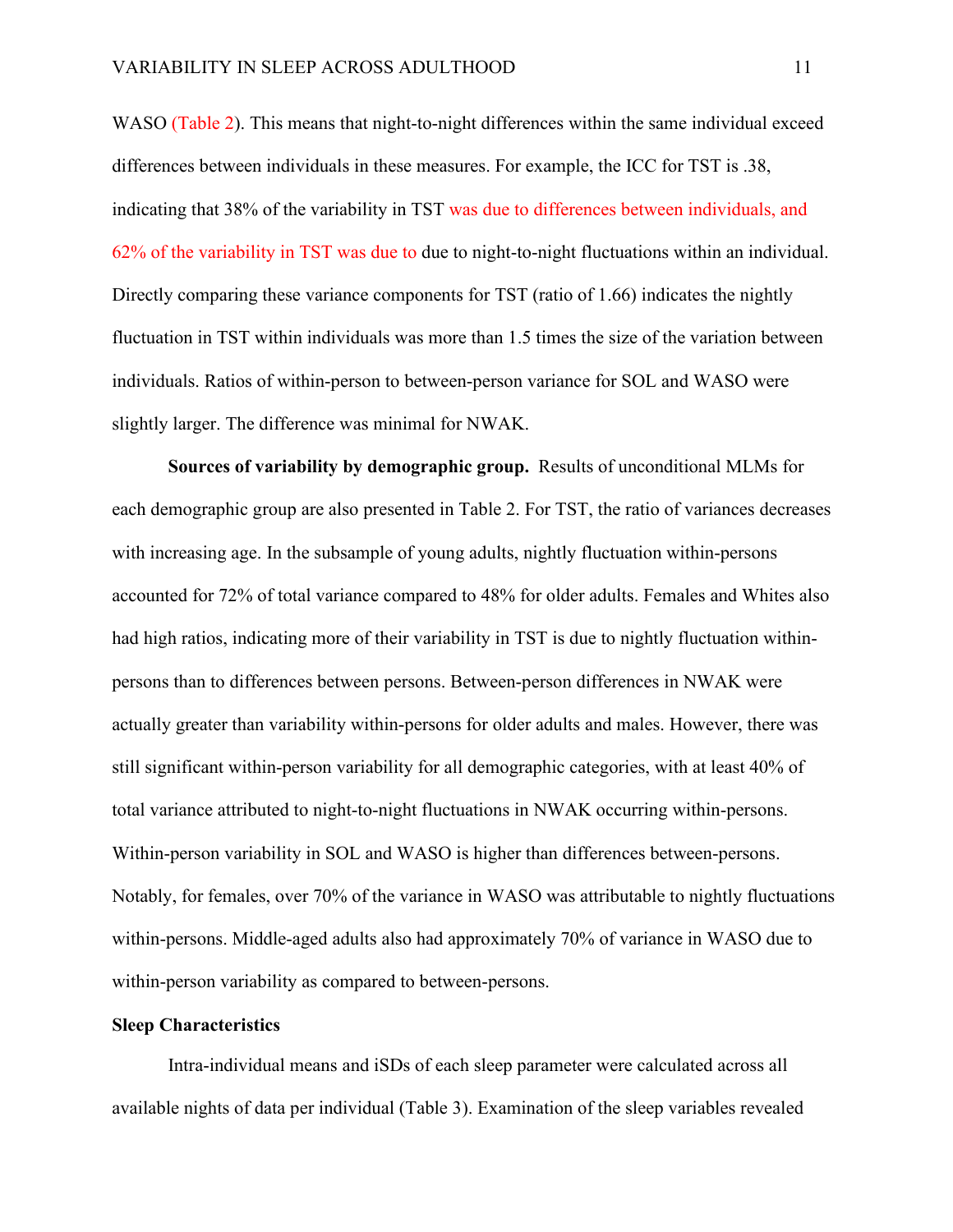WASO (Table 2). This means that night-to-night differences within the same individual exceed differences between individuals in these measures. For example, the ICC for TST is .38, indicating that 38% of the variability in TST was due to differences between individuals, and 62% of the variability in TST was due to due to night-to-night fluctuations within an individual. Directly comparing these variance components for TST (ratio of 1.66) indicates the nightly fluctuation in TST within individuals was more than 1.5 times the size of the variation between individuals. Ratios of within-person to between-person variance for SOL and WASO were slightly larger. The difference was minimal for NWAK.

**Sources of variability by demographic group.** Results of unconditional MLMs for each demographic group are also presented in Table 2. For TST, the ratio of variances decreases with increasing age. In the subsample of young adults, nightly fluctuation within-persons accounted for 72% of total variance compared to 48% for older adults. Females and Whites also had high ratios, indicating more of their variability in TST is due to nightly fluctuation withinpersons than to differences between persons. Between-person differences in NWAK were actually greater than variability within-persons for older adults and males. However, there was still significant within-person variability for all demographic categories, with at least 40% of total variance attributed to night-to-night fluctuations in NWAK occurring within-persons. Within-person variability in SOL and WASO is higher than differences between-persons. Notably, for females, over 70% of the variance in WASO was attributable to nightly fluctuations within-persons. Middle-aged adults also had approximately 70% of variance in WASO due to within-person variability as compared to between-persons.

#### **Sleep Characteristics**

Intra-individual means and iSDs of each sleep parameter were calculated across all available nights of data per individual (Table 3). Examination of the sleep variables revealed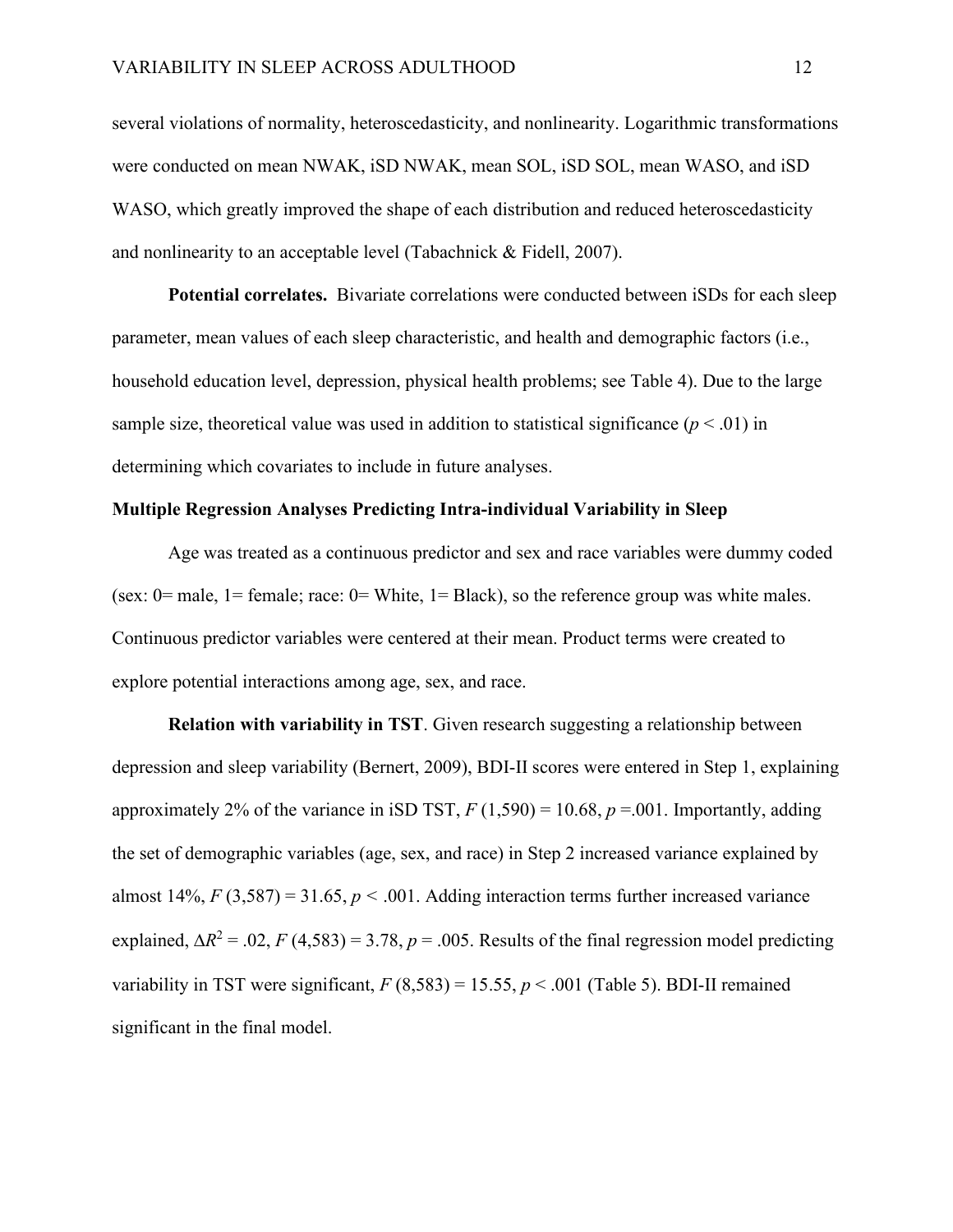several violations of normality, heteroscedasticity, and nonlinearity. Logarithmic transformations were conducted on mean NWAK, iSD NWAK, mean SOL, iSD SOL, mean WASO, and iSD WASO, which greatly improved the shape of each distribution and reduced heteroscedasticity and nonlinearity to an acceptable level (Tabachnick & Fidell, 2007).

**Potential correlates.** Bivariate correlations were conducted between iSDs for each sleep parameter, mean values of each sleep characteristic, and health and demographic factors (i.e., household education level, depression, physical health problems; see Table 4). Due to the large sample size, theoretical value was used in addition to statistical significance  $(p < .01)$  in determining which covariates to include in future analyses.

#### **Multiple Regression Analyses Predicting Intra-individual Variability in Sleep**

Age was treated as a continuous predictor and sex and race variables were dummy coded (sex:  $0=$  male,  $1=$  female; race:  $0=$  White,  $1=$  Black), so the reference group was white males. Continuous predictor variables were centered at their mean. Product terms were created to explore potential interactions among age, sex, and race.

**Relation with variability in TST**. Given research suggesting a relationship between depression and sleep variability (Bernert, 2009), BDI-II scores were entered in Step 1, explaining approximately 2% of the variance in iSD TST, *F* (1,590) = 10.68, *p* =.001. Importantly, adding the set of demographic variables (age, sex, and race) in Step 2 increased variance explained by almost  $14\%, F(3,587) = 31.65, p < .001$ . Adding interaction terms further increased variance explained,  $\Delta R^2 = .02$ , *F* (4,583) = 3.78, *p* = .005. Results of the final regression model predicting variability in TST were significant,  $F(8,583) = 15.55$ ,  $p < .001$  (Table 5). BDI-II remained significant in the final model.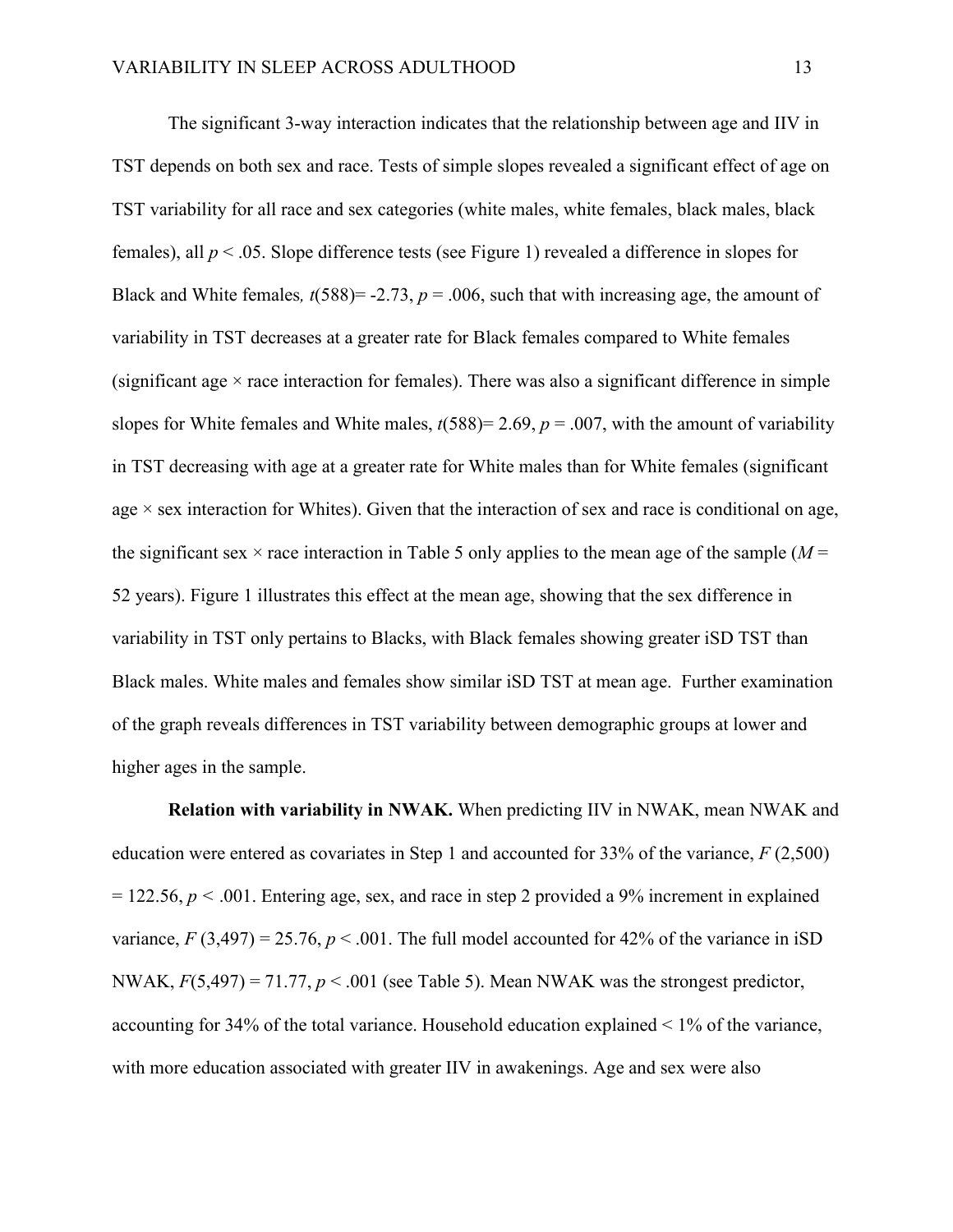The significant 3-way interaction indicates that the relationship between age and IIV in TST depends on both sex and race. Tests of simple slopes revealed a significant effect of age on TST variability for all race and sex categories (white males, white females, black males, black females), all *p* < .05. Slope difference tests (see Figure 1) revealed a difference in slopes for Black and White females,  $t(588) = -2.73$ ,  $p = .006$ , such that with increasing age, the amount of variability in TST decreases at a greater rate for Black females compared to White females (significant age  $\times$  race interaction for females). There was also a significant difference in simple slopes for White females and White males,  $t(588)=2.69$ ,  $p=.007$ , with the amount of variability in TST decreasing with age at a greater rate for White males than for White females (significant age  $\times$  sex interaction for Whites). Given that the interaction of sex and race is conditional on age, the significant sex  $\times$  race interaction in Table 5 only applies to the mean age of the sample ( $M =$ 52 years). Figure 1 illustrates this effect at the mean age, showing that the sex difference in variability in TST only pertains to Blacks, with Black females showing greater iSD TST than Black males. White males and females show similar iSD TST at mean age. Further examination of the graph reveals differences in TST variability between demographic groups at lower and higher ages in the sample.

**Relation with variability in NWAK.** When predicting IIV in NWAK, mean NWAK and education were entered as covariates in Step 1 and accounted for 33% of the variance, *F* (2,500)  $= 122.56, p \le 0.001$ . Entering age, sex, and race in step 2 provided a 9% increment in explained variance,  $F(3,497) = 25.76$ ,  $p < .001$ . The full model accounted for 42% of the variance in iSD NWAK,  $F(5,497) = 71.77$ ,  $p < .001$  (see Table 5). Mean NWAK was the strongest predictor, accounting for 34% of the total variance. Household education explained < 1% of the variance, with more education associated with greater IIV in awakenings. Age and sex were also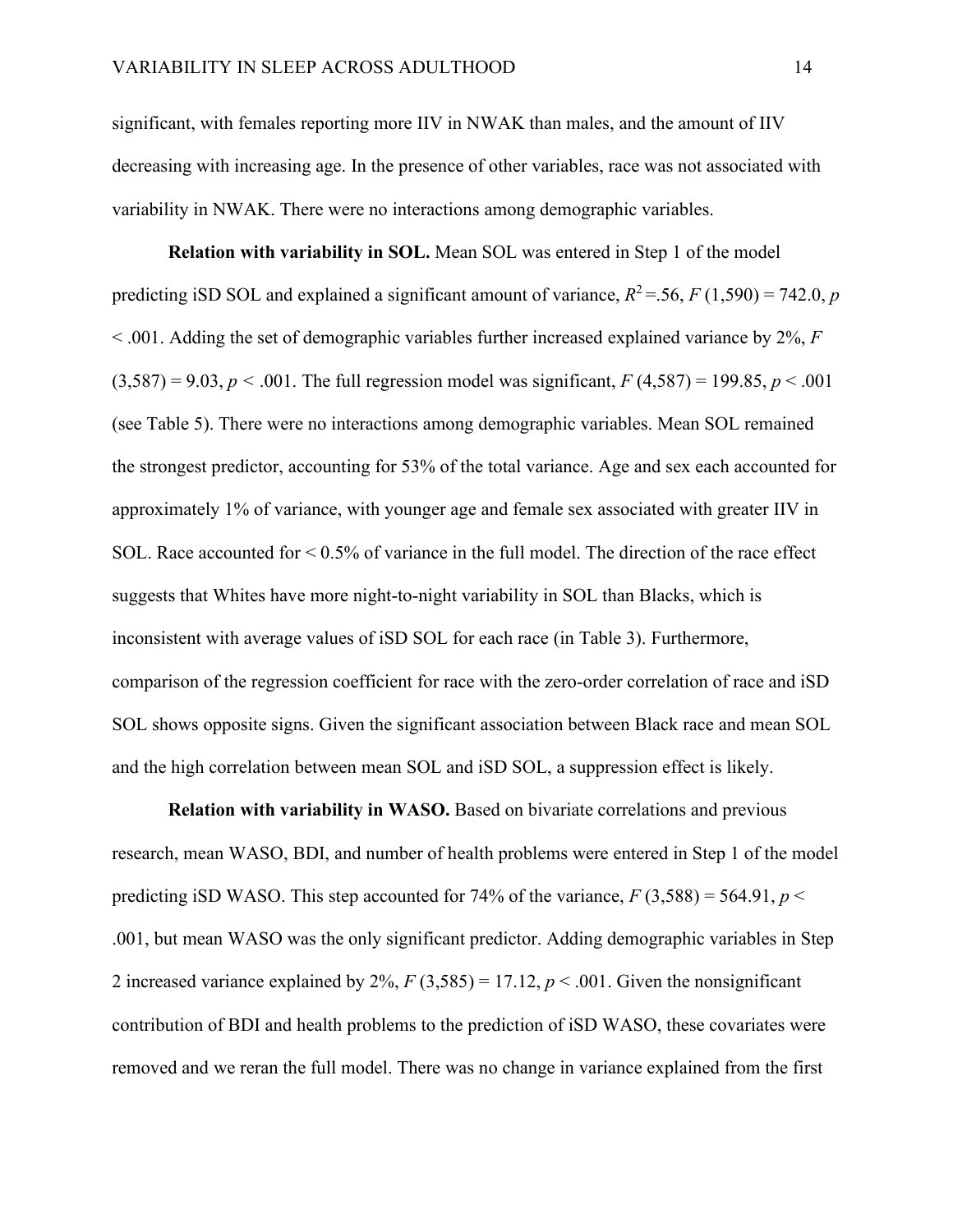significant, with females reporting more IIV in NWAK than males, and the amount of IIV decreasing with increasing age. In the presence of other variables, race was not associated with variability in NWAK. There were no interactions among demographic variables.

**Relation with variability in SOL.** Mean SOL was entered in Step 1 of the model predicting iSD SOL and explained a significant amount of variance,  $R^2 = 56$ ,  $F(1,590) = 742.0$ , *p* < .001. Adding the set of demographic variables further increased explained variance by 2%, *F*  $(3,587) = 9.03, p < .001$ . The full regression model was significant,  $F(4,587) = 199.85, p < .001$ (see Table 5). There were no interactions among demographic variables. Mean SOL remained the strongest predictor, accounting for 53% of the total variance. Age and sex each accounted for approximately 1% of variance, with younger age and female sex associated with greater IIV in SOL. Race accounted for < 0.5% of variance in the full model. The direction of the race effect suggests that Whites have more night-to-night variability in SOL than Blacks, which is inconsistent with average values of iSD SOL for each race (in Table 3). Furthermore, comparison of the regression coefficient for race with the zero-order correlation of race and iSD SOL shows opposite signs. Given the significant association between Black race and mean SOL and the high correlation between mean SOL and iSD SOL, a suppression effect is likely.

**Relation with variability in WASO.** Based on bivariate correlations and previous research, mean WASO, BDI, and number of health problems were entered in Step 1 of the model predicting iSD WASO. This step accounted for 74% of the variance,  $F(3,588) = 564.91$ ,  $p <$ .001, but mean WASO was the only significant predictor. Adding demographic variables in Step 2 increased variance explained by 2%,  $F(3,585) = 17.12$ ,  $p < .001$ . Given the nonsignificant contribution of BDI and health problems to the prediction of iSD WASO, these covariates were removed and we reran the full model. There was no change in variance explained from the first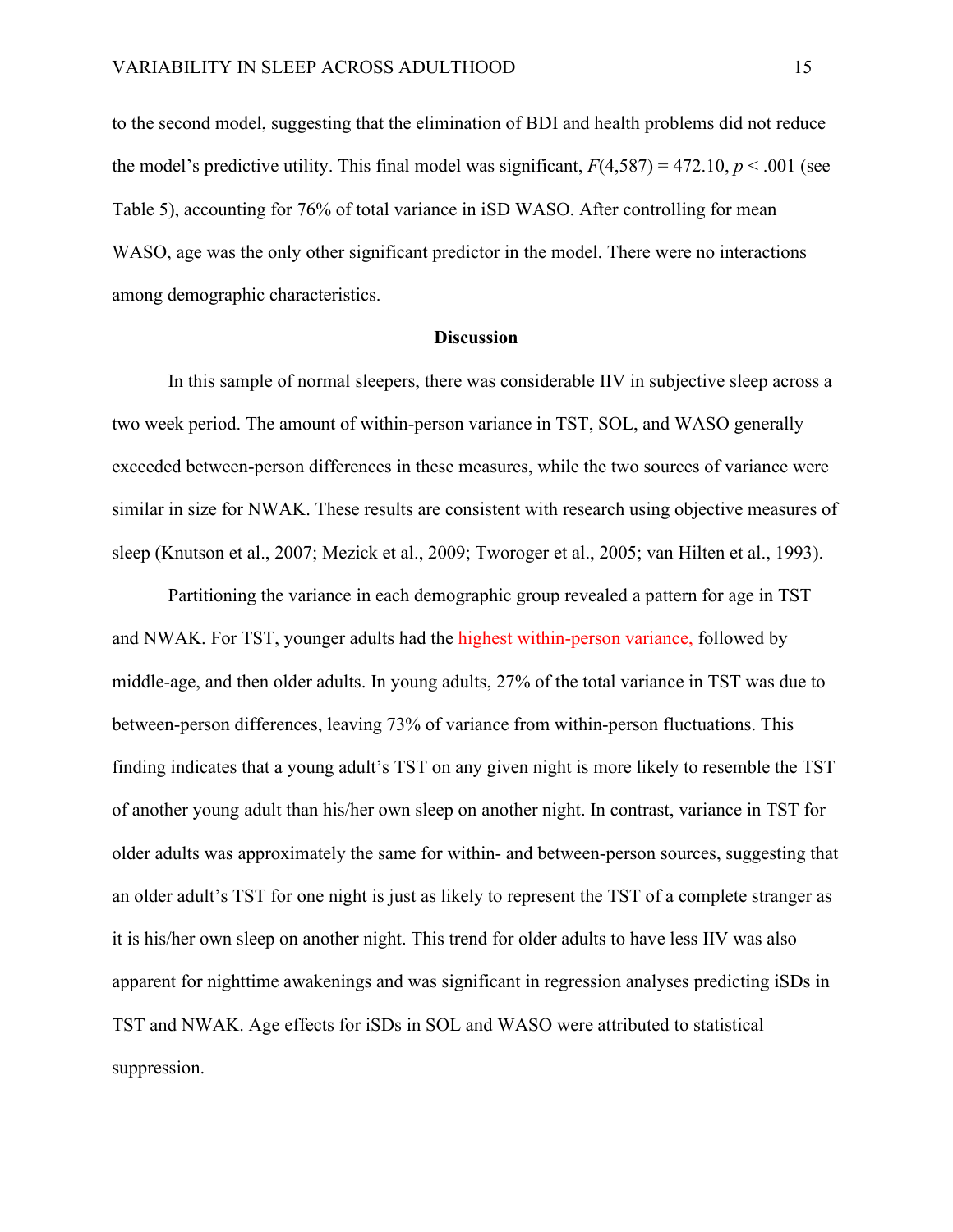to the second model, suggesting that the elimination of BDI and health problems did not reduce the model's predictive utility. This final model was significant,  $F(4,587) = 472.10, p < .001$  (see Table 5), accounting for 76% of total variance in iSD WASO. After controlling for mean WASO, age was the only other significant predictor in the model. There were no interactions among demographic characteristics.

#### **Discussion**

In this sample of normal sleepers, there was considerable IIV in subjective sleep across a two week period. The amount of within-person variance in TST, SOL, and WASO generally exceeded between-person differences in these measures, while the two sources of variance were similar in size for NWAK. These results are consistent with research using objective measures of sleep (Knutson et al., 2007; Mezick et al., 2009; Tworoger et al., 2005; van Hilten et al., 1993).

Partitioning the variance in each demographic group revealed a pattern for age in TST and NWAK. For TST, younger adults had the highest within-person variance, followed by middle-age, and then older adults. In young adults, 27% of the total variance in TST was due to between-person differences, leaving 73% of variance from within-person fluctuations. This finding indicates that a young adult's TST on any given night is more likely to resemble the TST of another young adult than his/her own sleep on another night. In contrast, variance in TST for older adults was approximately the same for within- and between-person sources, suggesting that an older adult's TST for one night is just as likely to represent the TST of a complete stranger as it is his/her own sleep on another night. This trend for older adults to have less IIV was also apparent for nighttime awakenings and was significant in regression analyses predicting iSDs in TST and NWAK. Age effects for iSDs in SOL and WASO were attributed to statistical suppression.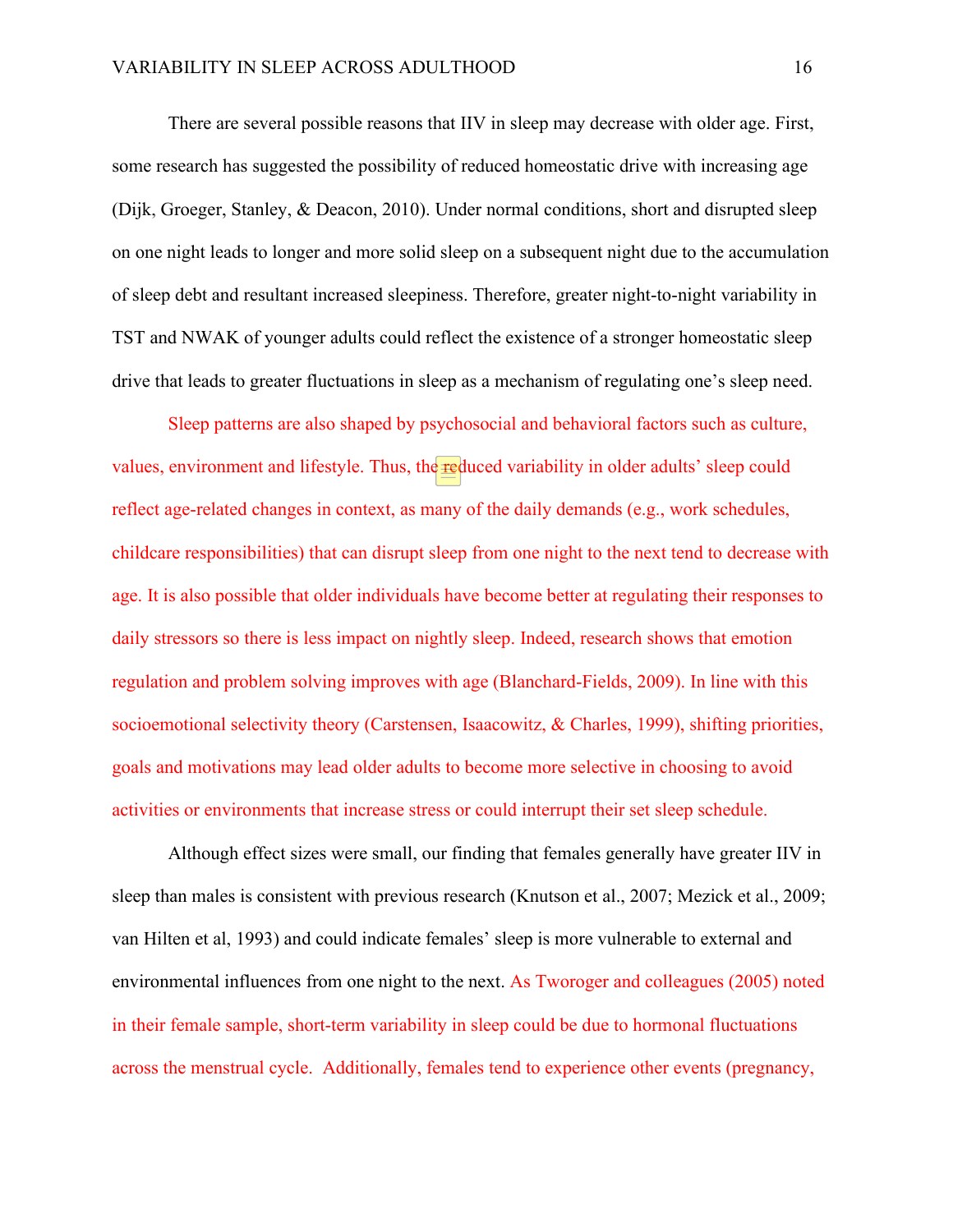There are several possible reasons that IIV in sleep may decrease with older age. First, some research has suggested the possibility of reduced homeostatic drive with increasing age (Dijk, Groeger, Stanley, & Deacon, 2010). Under normal conditions, short and disrupted sleep on one night leads to longer and more solid sleep on a subsequent night due to the accumulation of sleep debt and resultant increased sleepiness. Therefore, greater night-to-night variability in TST and NWAK of younger adults could reflect the existence of a stronger homeostatic sleep drive that leads to greater fluctuations in sleep as a mechanism of regulating one's sleep need.

Sleep patterns are also shaped by psychosocial and behavioral factors such as culture, values, environment and lifestyle. Thus, the reduced variability in older adults' sleep could reflect age-related changes in context, as many of the daily demands (e.g., work schedules, childcare responsibilities) that can disrupt sleep from one night to the next tend to decrease with age. It is also possible that older individuals have become better at regulating their responses to daily stressors so there is less impact on nightly sleep. Indeed, research shows that emotion regulation and problem solving improves with age (Blanchard-Fields, 2009). In line with this socioemotional selectivity theory (Carstensen, Isaacowitz, & Charles, 1999), shifting priorities, goals and motivations may lead older adults to become more selective in choosing to avoid activities or environments that increase stress or could interrupt their set sleep schedule.

Although effect sizes were small, our finding that females generally have greater IIV in sleep than males is consistent with previous research (Knutson et al., 2007; Mezick et al., 2009; van Hilten et al, 1993) and could indicate females' sleep is more vulnerable to external and environmental influences from one night to the next. As Tworoger and colleagues (2005) noted in their female sample, short-term variability in sleep could be due to hormonal fluctuations across the menstrual cycle. Additionally, females tend to experience other events (pregnancy,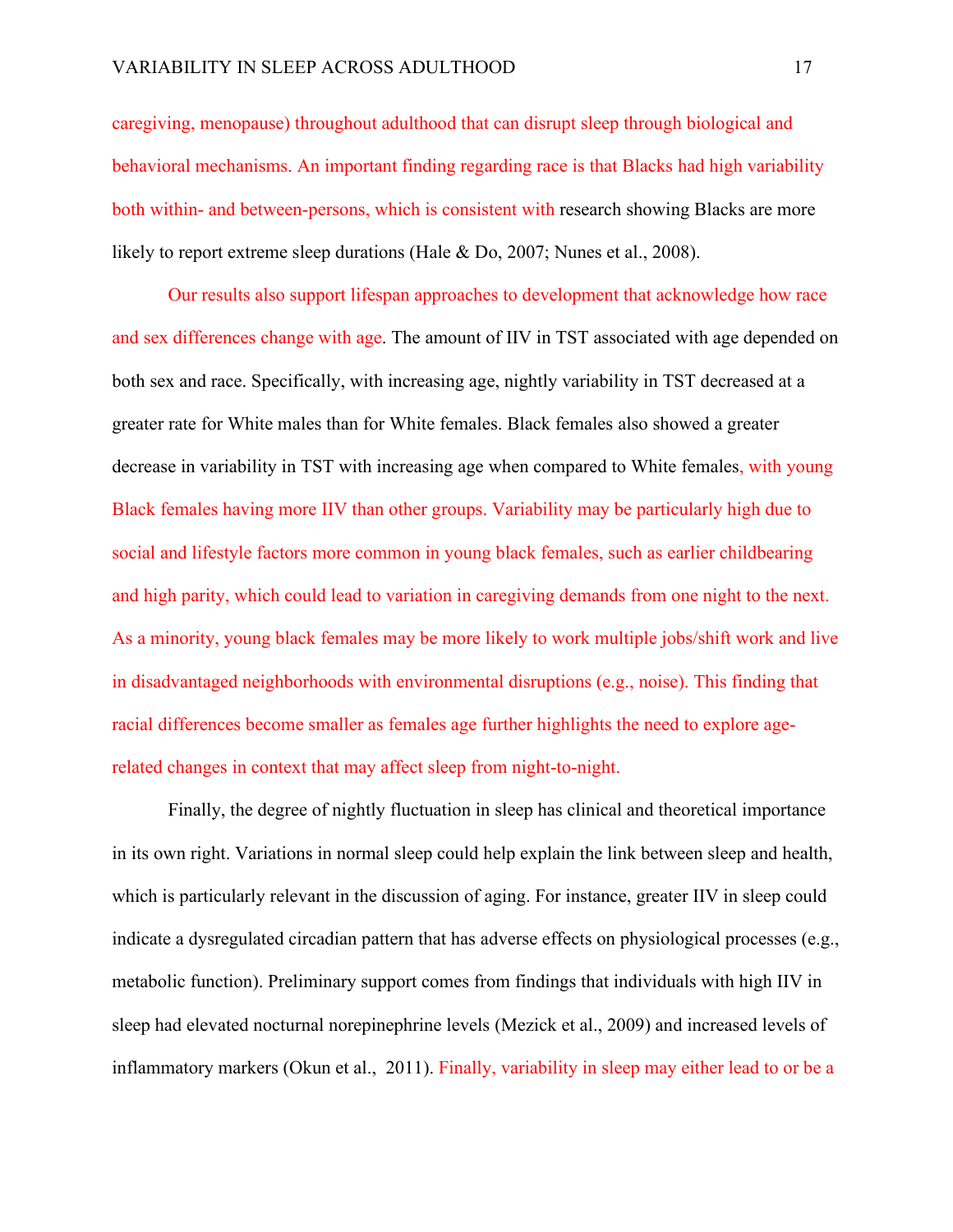caregiving, menopause) throughout adulthood that can disrupt sleep through biological and behavioral mechanisms. An important finding regarding race is that Blacks had high variability both within- and between-persons, which is consistent with research showing Blacks are more likely to report extreme sleep durations (Hale & Do, 2007; Nunes et al., 2008).

Our results also support lifespan approaches to development that acknowledge how race and sex differences change with age. The amount of IIV in TST associated with age depended on both sex and race. Specifically, with increasing age, nightly variability in TST decreased at a greater rate for White males than for White females. Black females also showed a greater decrease in variability in TST with increasing age when compared to White females, with young Black females having more IIV than other groups. Variability may be particularly high due to social and lifestyle factors more common in young black females, such as earlier childbearing and high parity, which could lead to variation in caregiving demands from one night to the next. As a minority, young black females may be more likely to work multiple jobs/shift work and live in disadvantaged neighborhoods with environmental disruptions (e.g., noise). This finding that racial differences become smaller as females age further highlights the need to explore agerelated changes in context that may affect sleep from night-to-night.

Finally, the degree of nightly fluctuation in sleep has clinical and theoretical importance in its own right. Variations in normal sleep could help explain the link between sleep and health, which is particularly relevant in the discussion of aging. For instance, greater IIV in sleep could indicate a dysregulated circadian pattern that has adverse effects on physiological processes (e.g., metabolic function). Preliminary support comes from findings that individuals with high IIV in sleep had elevated nocturnal norepinephrine levels (Mezick et al., 2009) and increased levels of inflammatory markers (Okun et al., 2011). Finally, variability in sleep may either lead to or be a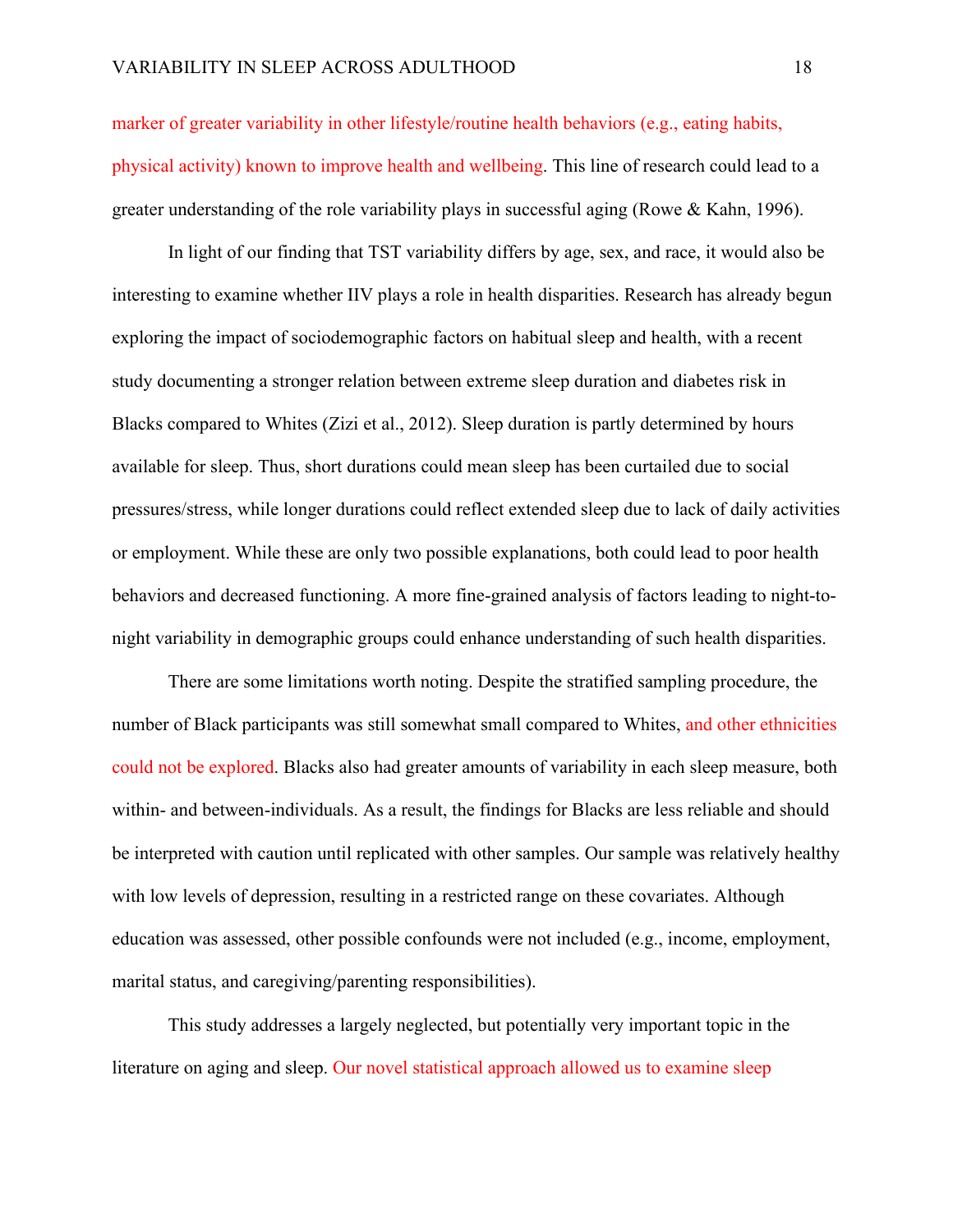marker of greater variability in other lifestyle/routine health behaviors (e.g., eating habits, physical activity) known to improve health and wellbeing. This line of research could lead to a greater understanding of the role variability plays in successful aging (Rowe & Kahn, 1996).

In light of our finding that TST variability differs by age, sex, and race, it would also be interesting to examine whether IIV plays a role in health disparities. Research has already begun exploring the impact of sociodemographic factors on habitual sleep and health, with a recent study documenting a stronger relation between extreme sleep duration and diabetes risk in Blacks compared to Whites (Zizi et al., 2012). Sleep duration is partly determined by hours available for sleep. Thus, short durations could mean sleep has been curtailed due to social pressures/stress, while longer durations could reflect extended sleep due to lack of daily activities or employment. While these are only two possible explanations, both could lead to poor health behaviors and decreased functioning. A more fine-grained analysis of factors leading to night-tonight variability in demographic groups could enhance understanding of such health disparities.

There are some limitations worth noting. Despite the stratified sampling procedure, the number of Black participants was still somewhat small compared to Whites, and other ethnicities could not be explored. Blacks also had greater amounts of variability in each sleep measure, both within- and between-individuals. As a result, the findings for Blacks are less reliable and should be interpreted with caution until replicated with other samples. Our sample was relatively healthy with low levels of depression, resulting in a restricted range on these covariates. Although education was assessed, other possible confounds were not included (e.g., income, employment, marital status, and caregiving/parenting responsibilities).

This study addresses a largely neglected, but potentially very important topic in the literature on aging and sleep. Our novel statistical approach allowed us to examine sleep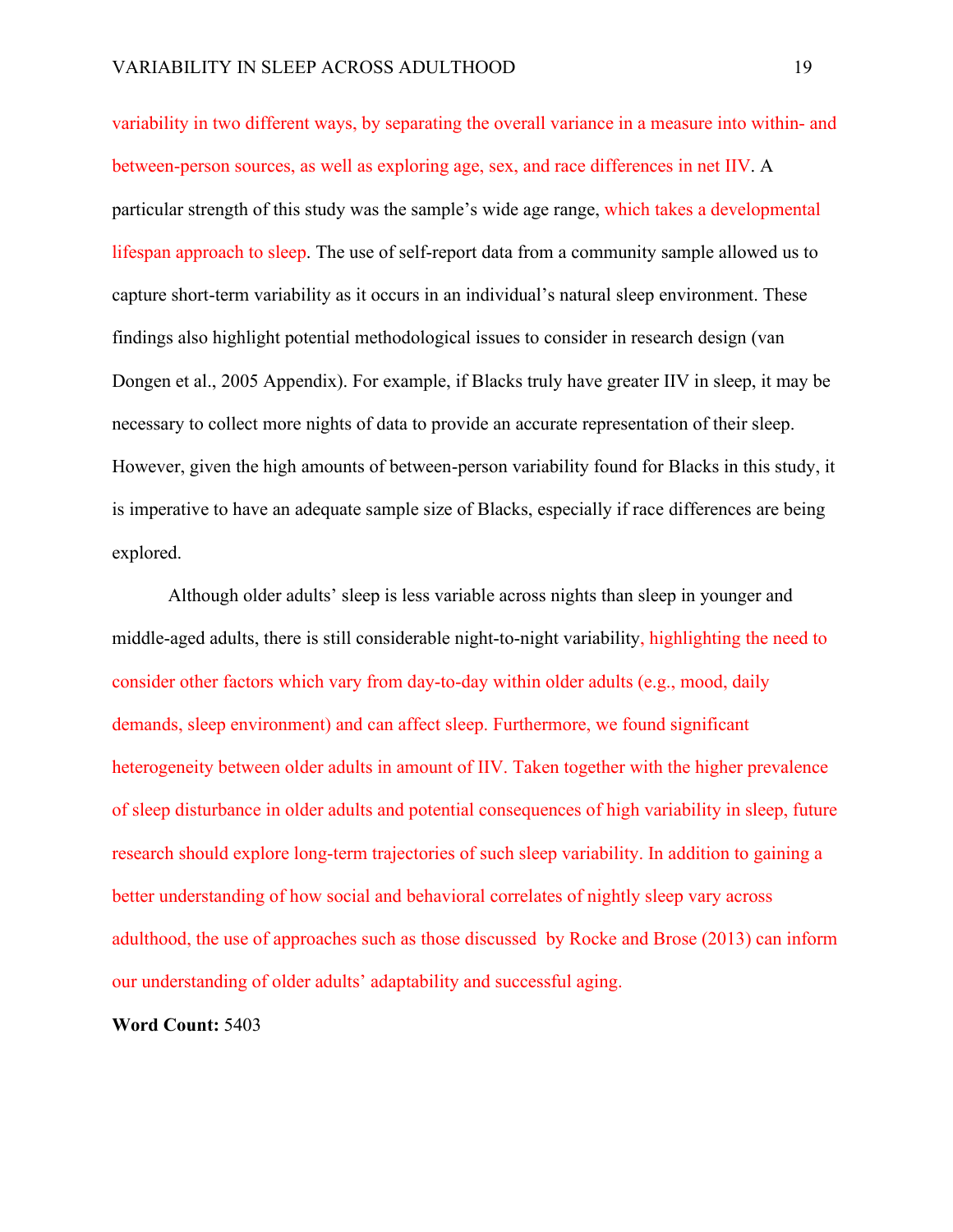variability in two different ways, by separating the overall variance in a measure into within- and between-person sources, as well as exploring age, sex, and race differences in net IIV. A particular strength of this study was the sample's wide age range, which takes a developmental lifespan approach to sleep. The use of self-report data from a community sample allowed us to capture short-term variability as it occurs in an individual's natural sleep environment. These findings also highlight potential methodological issues to consider in research design (van Dongen et al., 2005 Appendix). For example, if Blacks truly have greater IIV in sleep, it may be necessary to collect more nights of data to provide an accurate representation of their sleep. However, given the high amounts of between-person variability found for Blacks in this study, it is imperative to have an adequate sample size of Blacks, especially if race differences are being explored.

Although older adults' sleep is less variable across nights than sleep in younger and middle-aged adults, there is still considerable night-to-night variability, highlighting the need to consider other factors which vary from day-to-day within older adults (e.g., mood, daily demands, sleep environment) and can affect sleep. Furthermore, we found significant heterogeneity between older adults in amount of IIV. Taken together with the higher prevalence of sleep disturbance in older adults and potential consequences of high variability in sleep, future research should explore long-term trajectories of such sleep variability. In addition to gaining a better understanding of how social and behavioral correlates of nightly sleep vary across adulthood, the use of approaches such as those discussed by Rocke and Brose (2013) can inform our understanding of older adults' adaptability and successful aging.

**Word Count:** 5403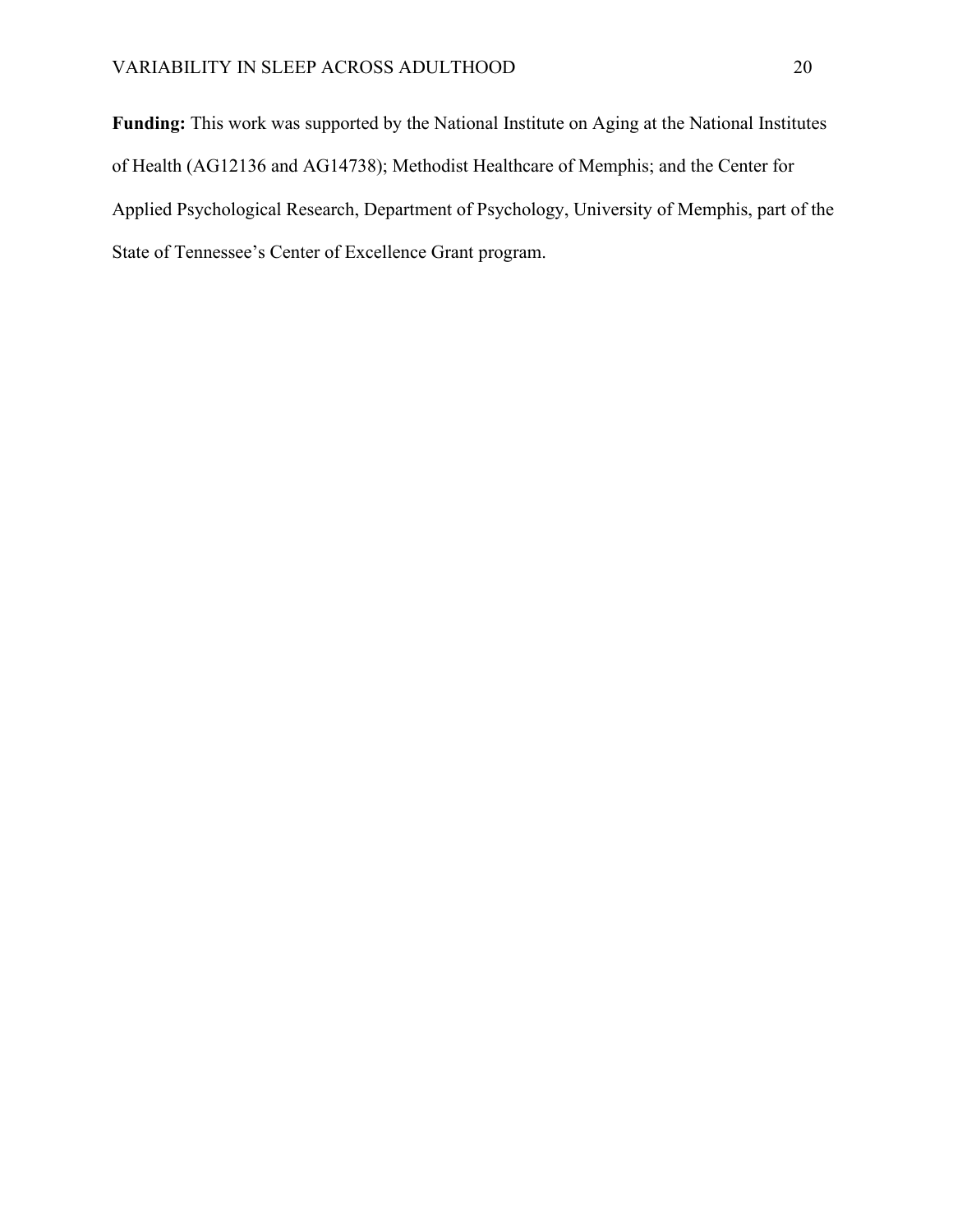**Funding:** This work was supported by the National Institute on Aging at the National Institutes of Health (AG12136 and AG14738); Methodist Healthcare of Memphis; and the Center for Applied Psychological Research, Department of Psychology, University of Memphis, part of the State of Tennessee's Center of Excellence Grant program.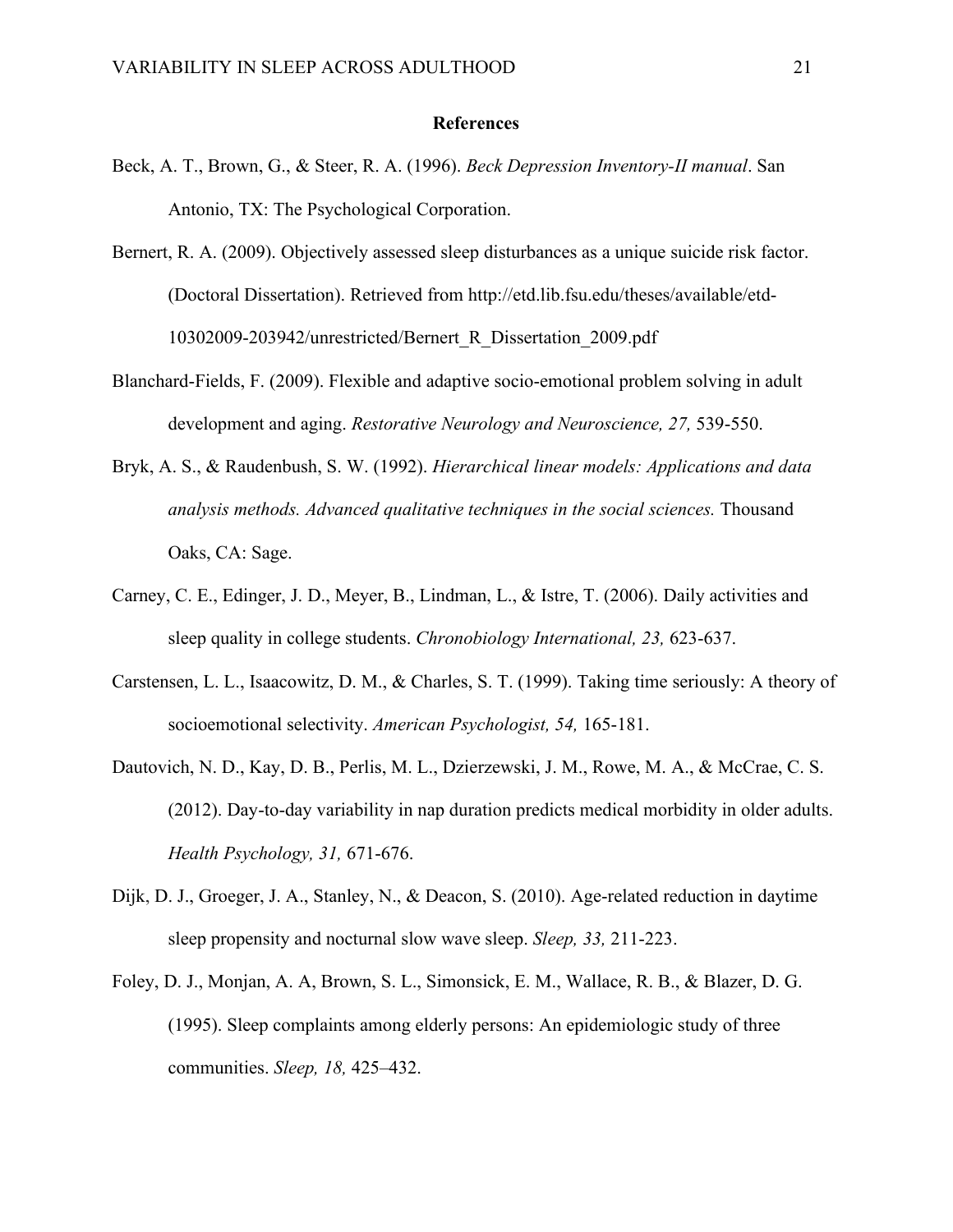#### **References**

- Beck, A. T., Brown, G., & Steer, R. A. (1996). *Beck Depression Inventory-II manual*. San Antonio, TX: The Psychological Corporation.
- Bernert, R. A. (2009). Objectively assessed sleep disturbances as a unique suicide risk factor. (Doctoral Dissertation). Retrieved from http://etd.lib.fsu.edu/theses/available/etd-10302009-203942/unrestricted/Bernert\_R\_Dissertation\_2009.pdf
- Blanchard-Fields, F. (2009). Flexible and adaptive socio-emotional problem solving in adult development and aging. *Restorative Neurology and Neuroscience, 27,* 539-550.
- Bryk, A. S., & Raudenbush, S. W. (1992). *Hierarchical linear models: Applications and data analysis methods. Advanced qualitative techniques in the social sciences.* Thousand Oaks, CA: Sage.
- Carney, C. E., Edinger, J. D., Meyer, B., Lindman, L., & Istre, T. (2006). Daily activities and sleep quality in college students. *Chronobiology International, 23,* 623-637.
- Carstensen, L. L., Isaacowitz, D. M., & Charles, S. T. (1999). Taking time seriously: A theory of socioemotional selectivity. *American Psychologist, 54,* 165-181.
- Dautovich, N. D., Kay, D. B., Perlis, M. L., Dzierzewski, J. M., Rowe, M. A., & McCrae, C. S. (2012). Day-to-day variability in nap duration predicts medical morbidity in older adults. *Health Psychology, 31,* 671-676.
- Dijk, D. J., Groeger, J. A., Stanley, N., & Deacon, S. (2010). Age-related reduction in daytime sleep propensity and nocturnal slow wave sleep. *Sleep, 33,* 211-223.
- Foley, D. J., Monjan, A. A, Brown, S. L., Simonsick, E. M., Wallace, R. B., & Blazer, D. G. (1995). Sleep complaints among elderly persons: An epidemiologic study of three communities. *Sleep, 18,* 425–432.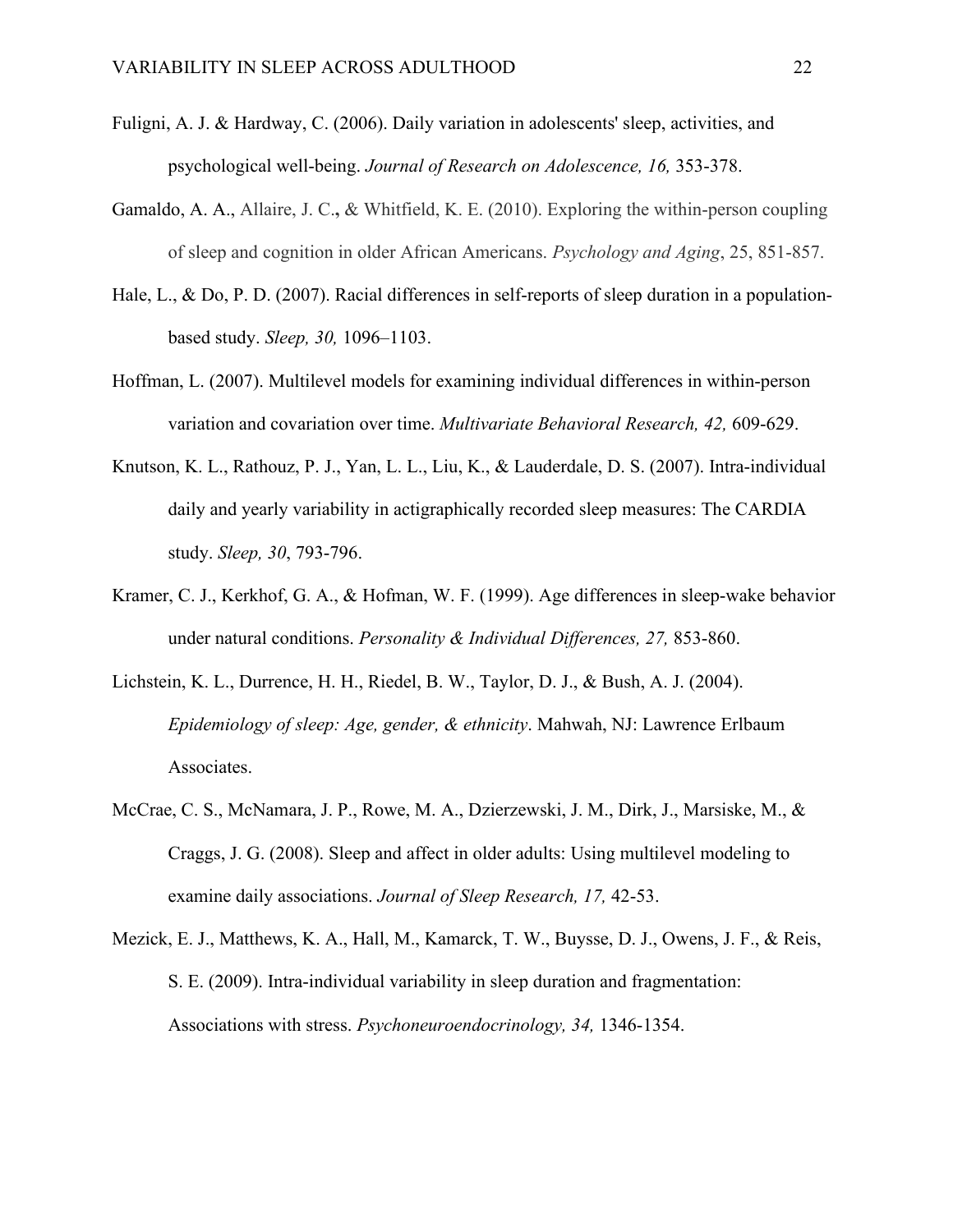- Fuligni, A. J. & Hardway, C. (2006). Daily variation in adolescents' sleep, activities, and psychological well-being. *Journal of Research on Adolescence, 16,* 353-378.
- Gamaldo, A. A., Allaire, J. C.**,** & Whitfield, K. E. (2010). Exploring the within-person coupling of sleep and cognition in older African Americans. *Psychology and Aging*, 25, 851-857.
- Hale, L., & Do, P. D. (2007). Racial differences in self-reports of sleep duration in a populationbased study. *Sleep, 30,* 1096–1103.
- Hoffman, L. (2007). Multilevel models for examining individual differences in within-person variation and covariation over time. *Multivariate Behavioral Research, 42,* 609-629.
- Knutson, K. L., Rathouz, P. J., Yan, L. L., Liu, K., & Lauderdale, D. S. (2007). Intra-individual daily and yearly variability in actigraphically recorded sleep measures: The CARDIA study. *Sleep, 30*, 793-796.
- Kramer, C. J., Kerkhof, G. A., & Hofman, W. F. (1999). Age differences in sleep-wake behavior under natural conditions. *Personality & Individual Differences, 27,* 853-860.
- Lichstein, K. L., Durrence, H. H., Riedel, B. W., Taylor, D. J., & Bush, A. J. (2004). *Epidemiology of sleep: Age, gender, & ethnicity*. Mahwah, NJ: Lawrence Erlbaum Associates.
- McCrae, C. S., McNamara, J. P., Rowe, M. A., Dzierzewski, J. M., Dirk, J., Marsiske, M., & Craggs, J. G. (2008). Sleep and affect in older adults: Using multilevel modeling to examine daily associations. *Journal of Sleep Research, 17,* 42-53.
- Mezick, E. J., Matthews, K. A., Hall, M., Kamarck, T. W., Buysse, D. J., Owens, J. F., & Reis, S. E. (2009). Intra-individual variability in sleep duration and fragmentation: Associations with stress. *Psychoneuroendocrinology, 34,* 1346-1354.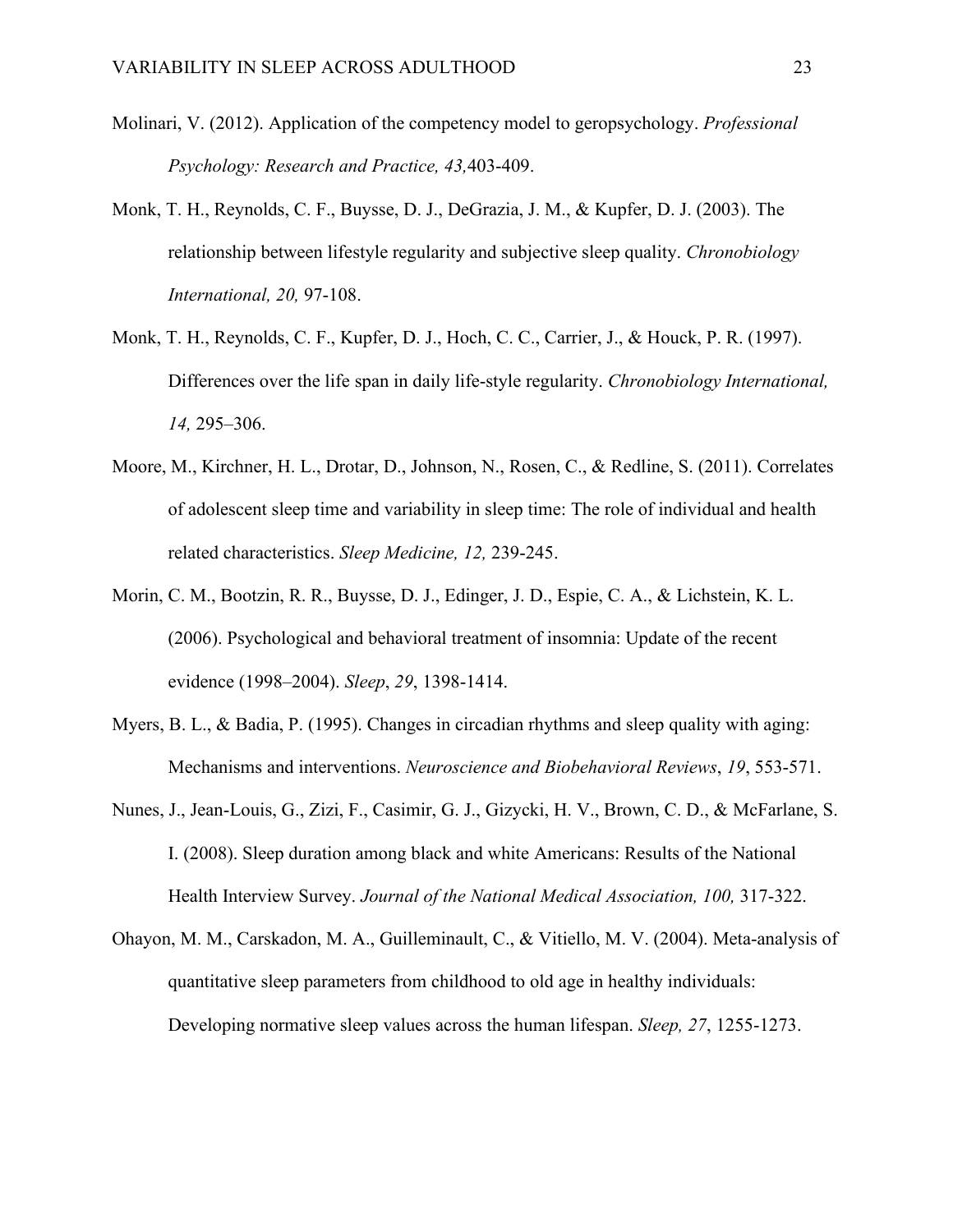- Molinari, V. (2012). Application of the competency model to geropsychology. *Professional Psychology: Research and Practice, 43,*403-409.
- Monk, T. H., Reynolds, C. F., Buysse, D. J., DeGrazia, J. M., & Kupfer, D. J. (2003). The relationship between lifestyle regularity and subjective sleep quality. *Chronobiology International, 20,* 97-108.
- Monk, T. H., Reynolds, C. F., Kupfer, D. J., Hoch, C. C., Carrier, J., & Houck, P. R. (1997). Differences over the life span in daily life-style regularity. *Chronobiology International, 14,* 295–306.
- Moore, M., Kirchner, H. L., Drotar, D., Johnson, N., Rosen, C., & Redline, S. (2011). Correlates of adolescent sleep time and variability in sleep time: The role of individual and health related characteristics. *Sleep Medicine, 12,* 239-245.
- Morin, C. M., Bootzin, R. R., Buysse, D. J., Edinger, J. D., Espie, C. A., & Lichstein, K. L. (2006). Psychological and behavioral treatment of insomnia: Update of the recent evidence (1998–2004). *Sleep*, *29*, 1398-1414.
- Myers, B. L., & Badia, P. (1995). Changes in circadian rhythms and sleep quality with aging: Mechanisms and interventions. *Neuroscience and Biobehavioral Reviews*, *19*, 553-571.
- Nunes, J., Jean-Louis, G., Zizi, F., Casimir, G. J., Gizycki, H. V., Brown, C. D., & McFarlane, S. I. (2008). Sleep duration among black and white Americans: Results of the National Health Interview Survey. *Journal of the National Medical Association, 100,* 317-322.
- Ohayon, M. M., Carskadon, M. A., Guilleminault, C., & Vitiello, M. V. (2004). Meta-analysis of quantitative sleep parameters from childhood to old age in healthy individuals: Developing normative sleep values across the human lifespan. *Sleep, 27*, 1255-1273.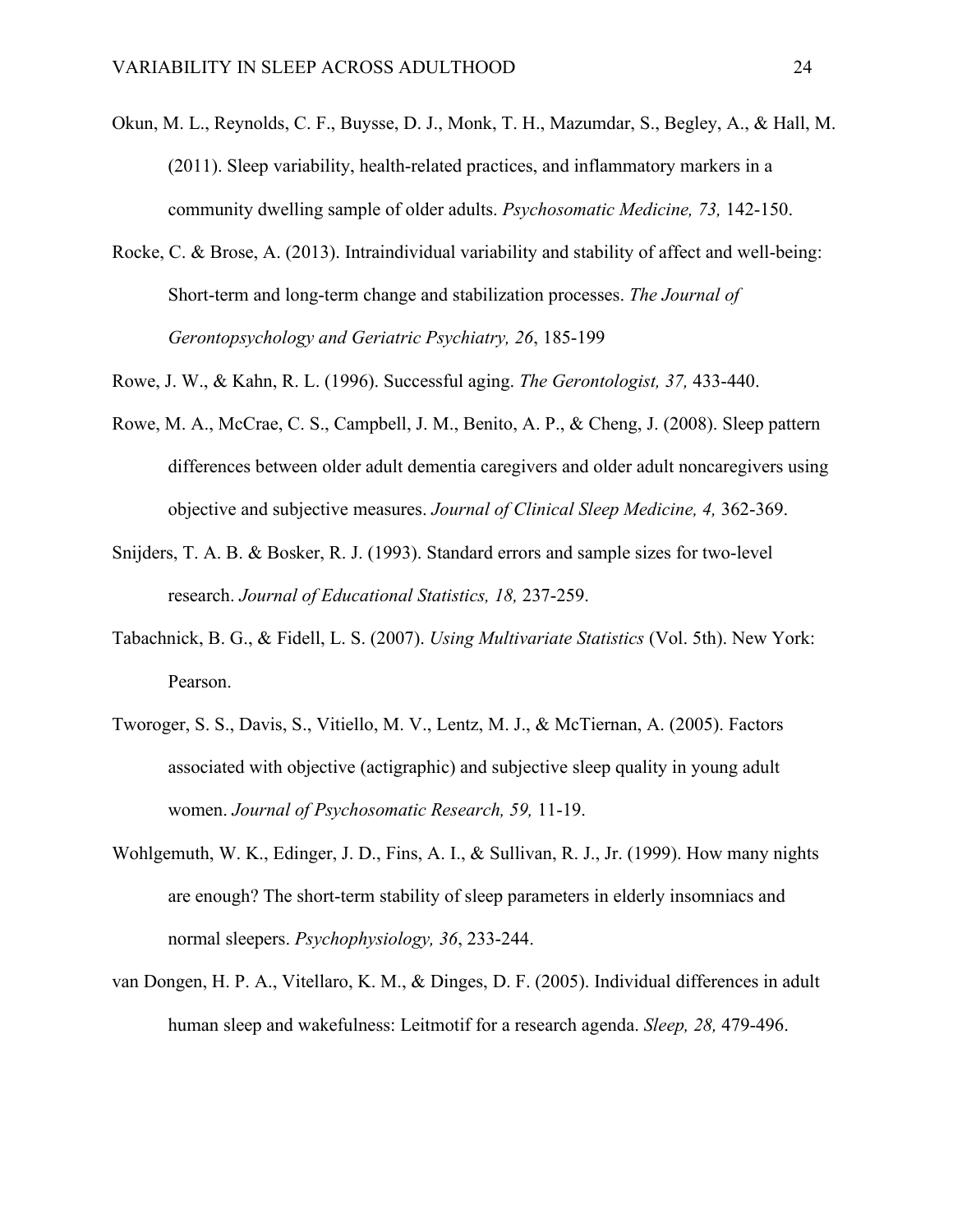- Okun, M. L., Reynolds, C. F., Buysse, D. J., Monk, T. H., Mazumdar, S., Begley, A., & Hall, M. (2011). Sleep variability, health-related practices, and inflammatory markers in a community dwelling sample of older adults. *Psychosomatic Medicine, 73,* 142-150.
- Rocke, C. & Brose, A. (2013). Intraindividual variability and stability of affect and well-being: Short-term and long-term change and stabilization processes. *The Journal of Gerontopsychology and Geriatric Psychiatry, 26*, 185-199
- Rowe, J. W., & Kahn, R. L. (1996). Successful aging. *The Gerontologist, 37,* 433-440.
- Rowe, M. A., McCrae, C. S., Campbell, J. M., Benito, A. P., & Cheng, J. (2008). Sleep pattern differences between older adult dementia caregivers and older adult noncaregivers using objective and subjective measures. *Journal of Clinical Sleep Medicine, 4,* 362-369.
- Snijders, T. A. B. & Bosker, R. J. (1993). Standard errors and sample sizes for two-level research. *Journal of Educational Statistics, 18,* 237-259.
- Tabachnick, B. G., & Fidell, L. S. (2007). *Using Multivariate Statistics* (Vol. 5th). New York: Pearson.
- Tworoger, S. S., Davis, S., Vitiello, M. V., Lentz, M. J., & McTiernan, A. (2005). Factors associated with objective (actigraphic) and subjective sleep quality in young adult women. *Journal of Psychosomatic Research, 59,* 11-19.
- Wohlgemuth, W. K., Edinger, J. D., Fins, A. I., & Sullivan, R. J., Jr. (1999). How many nights are enough? The short-term stability of sleep parameters in elderly insomniacs and normal sleepers. *Psychophysiology, 36*, 233-244.
- van Dongen, H. P. A., Vitellaro, K. M., & Dinges, D. F. (2005). Individual differences in adult human sleep and wakefulness: Leitmotif for a research agenda. *Sleep, 28,* 479-496.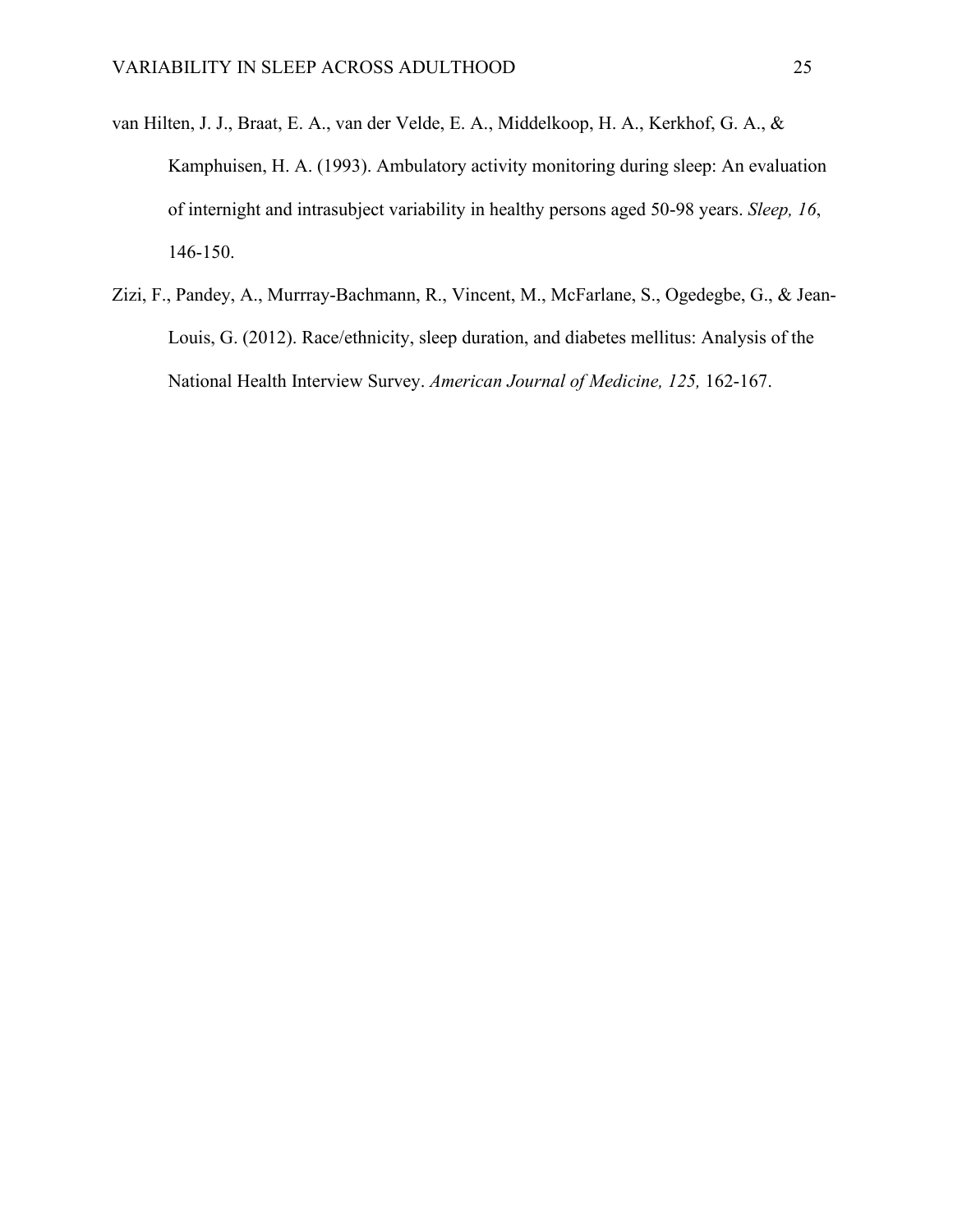- van Hilten, J. J., Braat, E. A., van der Velde, E. A., Middelkoop, H. A., Kerkhof, G. A., & Kamphuisen, H. A. (1993). Ambulatory activity monitoring during sleep: An evaluation of internight and intrasubject variability in healthy persons aged 50-98 years. *Sleep, 16*, 146-150.
- Zizi, F., Pandey, A., Murrray-Bachmann, R., Vincent, M., McFarlane, S., Ogedegbe, G., & Jean-Louis, G. (2012). Race/ethnicity, sleep duration, and diabetes mellitus: Analysis of the National Health Interview Survey. *American Journal of Medicine, 125,* 162-167.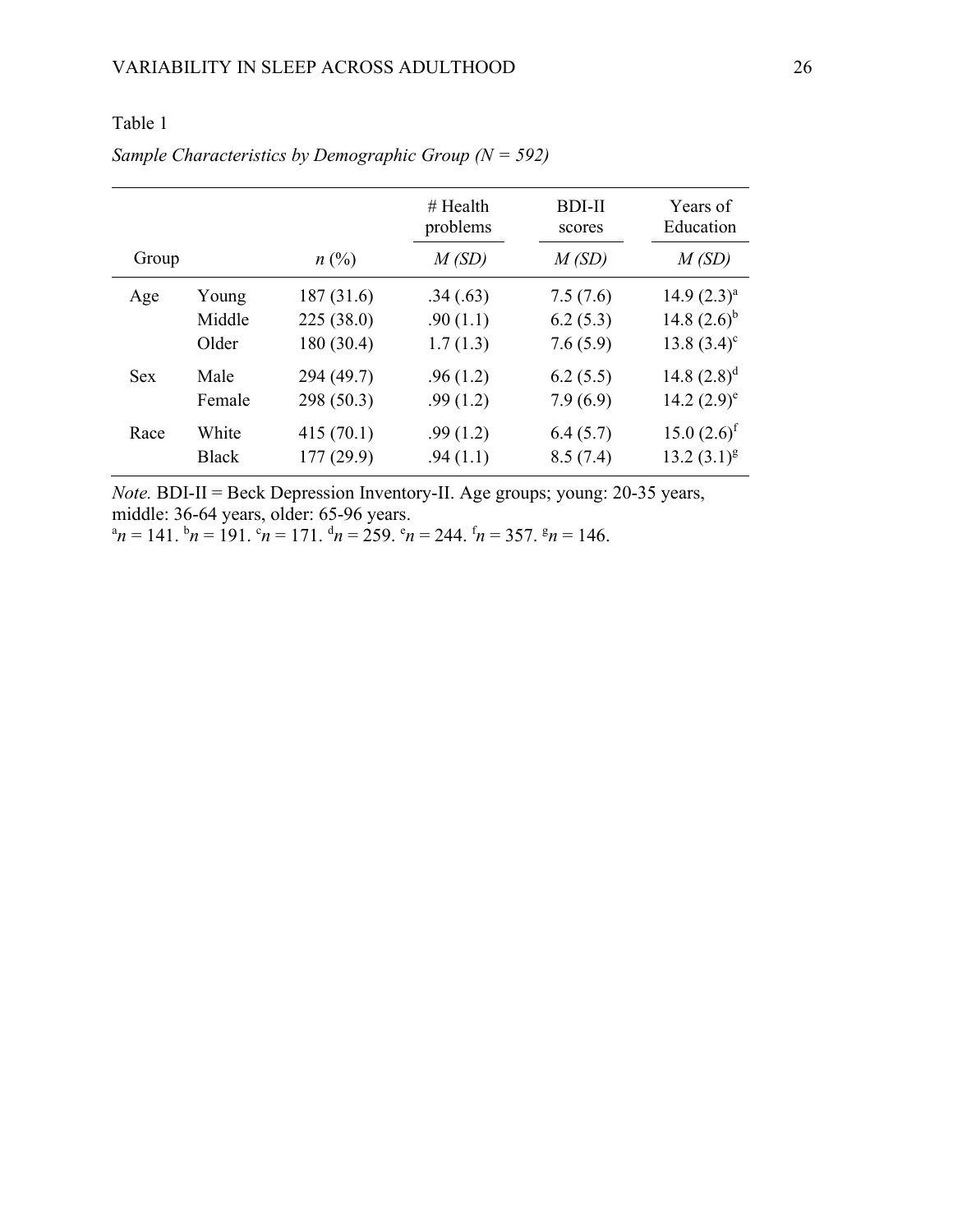|            |              |            | $#$ Health | <b>BDI-II</b> | Years of         |
|------------|--------------|------------|------------|---------------|------------------|
|            |              |            | problems   | scores        | Education        |
| Group      |              | $n\ (\%)$  | M(SD)      | M(SD)         | M(SD)            |
| Age        | Young        | 187(31.6)  | .34(.63)   | 7.5(7.6)      | $14.9(2.3)^{a}$  |
|            | Middle       | 225(38.0)  | .90(1.1)   | 6.2(5.3)      | 14.8 $(2.6)^{b}$ |
|            | Older        | 180 (30.4) | 1.7(1.3)   | 7.6(5.9)      | $13.8 (3.4)^c$   |
| <b>Sex</b> | Male         | 294 (49.7) | .96(1.2)   | 6.2(5.5)      | 14.8 $(2.8)^d$   |
|            | Female       | 298 (50.3) | .99(1.2)   | 7.9(6.9)      | 14.2 $(2.9)^e$   |
| Race       | White        | 415(70.1)  | .99(1.2)   | 6.4(5.7)      | $15.0 (2.6)^f$   |
|            | <b>Black</b> | 177(29.9)  | .94(1.1)   | 8.5(7.4)      | $13.2(3.1)^{g}$  |

# Table 1

# *Sample Characteristics by Demographic Group (N = 592)*

*Note.* BDI-II = Beck Depression Inventory-II. Age groups; young: 20-35 years, middle: 36-64 years, older: 65-96 years.

 $a_n = 141$ .  $b_n = 191$ .  $c_n = 171$ .  $d_n = 259$ .  $c_n = 244$ .  $f_n = 357$ .  $g_n = 146$ .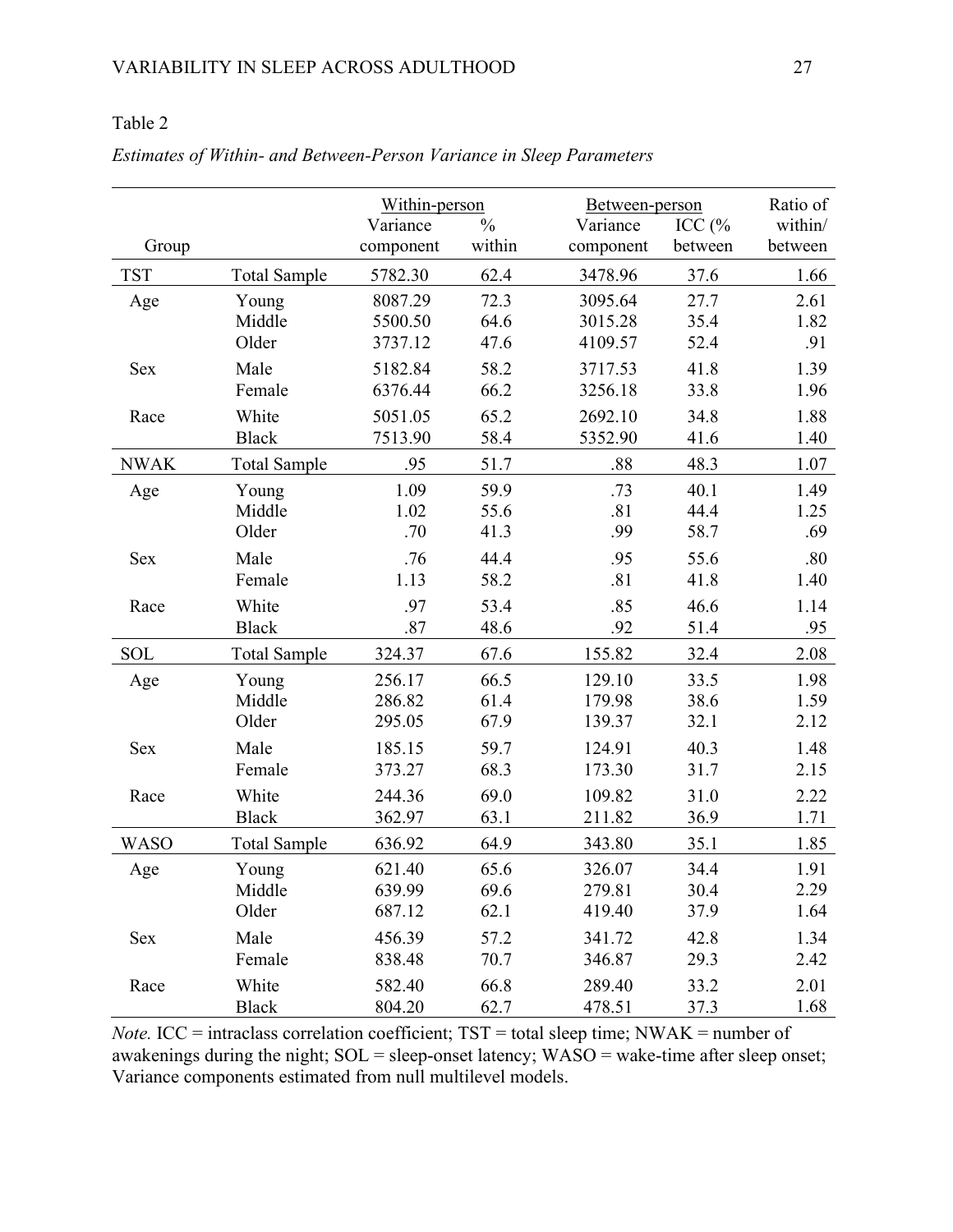# Table 2

|             |                     | Within-person |               | Between-person | Ratio of |         |
|-------------|---------------------|---------------|---------------|----------------|----------|---------|
|             |                     | Variance      | $\frac{0}{0}$ | Variance       | ICC $(%$ | within/ |
| Group       |                     | component     | within        | component      | between  | between |
| <b>TST</b>  | <b>Total Sample</b> | 5782.30       | 62.4          | 3478.96        | 37.6     | 1.66    |
| Age         | Young               | 8087.29       | 72.3          | 3095.64        | 27.7     | 2.61    |
|             | Middle              | 5500.50       | 64.6          | 3015.28        | 35.4     | 1.82    |
|             | Older               | 3737.12       | 47.6          | 4109.57        | 52.4     | .91     |
| <b>Sex</b>  | Male                | 5182.84       | 58.2          | 3717.53        | 41.8     | 1.39    |
|             | Female              | 6376.44       | 66.2          | 3256.18        | 33.8     | 1.96    |
| Race        | White               | 5051.05       | 65.2          | 2692.10        | 34.8     | 1.88    |
|             | <b>Black</b>        | 7513.90       | 58.4          | 5352.90        | 41.6     | 1.40    |
| <b>NWAK</b> | <b>Total Sample</b> | .95           | 51.7          | .88            | 48.3     | 1.07    |
| Age         | Young               | 1.09          | 59.9          | .73            | 40.1     | 1.49    |
|             | Middle              | 1.02          | 55.6          | .81            | 44.4     | 1.25    |
|             | Older               | .70           | 41.3          | .99            | 58.7     | .69     |
| Sex         | Male                | .76           | 44.4          | .95            | 55.6     | .80     |
|             | Female              | 1.13          | 58.2          | .81            | 41.8     | 1.40    |
| Race        | White               | .97           | 53.4          | .85            | 46.6     | 1.14    |
|             | <b>Black</b>        | .87           | 48.6          | .92            | 51.4     | .95     |
| SOL         | <b>Total Sample</b> | 324.37        | 67.6          | 155.82         | 32.4     | 2.08    |
| Age         | Young               | 256.17        | 66.5          | 129.10         | 33.5     | 1.98    |
|             | Middle              | 286.82        | 61.4          | 179.98         | 38.6     | 1.59    |
|             | Older               | 295.05        | 67.9          | 139.37         | 32.1     | 2.12    |
| <b>Sex</b>  | Male                | 185.15        | 59.7          | 124.91         | 40.3     | 1.48    |
|             | Female              | 373.27        | 68.3          | 173.30         | 31.7     | 2.15    |
| Race        | White               | 244.36        | 69.0          | 109.82         | 31.0     | 2.22    |
|             | <b>Black</b>        | 362.97        | 63.1          | 211.82         | 36.9     | 1.71    |
| <b>WASO</b> | <b>Total Sample</b> | 636.92        | 64.9          | 343.80         | 35.1     | 1.85    |
| Age         | Young               | 621.40        | 65.6          | 326.07         | 34.4     | 1.91    |
|             | Middle              | 639.99        | 69.6          | 279.81         | 30.4     | 2.29    |
|             | Older               | 687.12        | 62.1          | 419.40         | 37.9     | 1.64    |
| Sex         | Male                | 456.39        | 57.2          | 341.72         | 42.8     | 1.34    |
|             | Female              | 838.48        | 70.7          | 346.87         | 29.3     | 2.42    |
| Race        | White               | 582.40        | 66.8          | 289.40         | 33.2     | 2.01    |
|             | Black               | 804.20        | 62.7          | 478.51         | 37.3     | 1.68    |

*Estimates of Within- and Between-Person Variance in Sleep Parameters* 

*Note.* ICC = intraclass correlation coefficient; TST = total sleep time; NWAK = number of awakenings during the night; SOL = sleep-onset latency; WASO = wake-time after sleep onset; Variance components estimated from null multilevel models.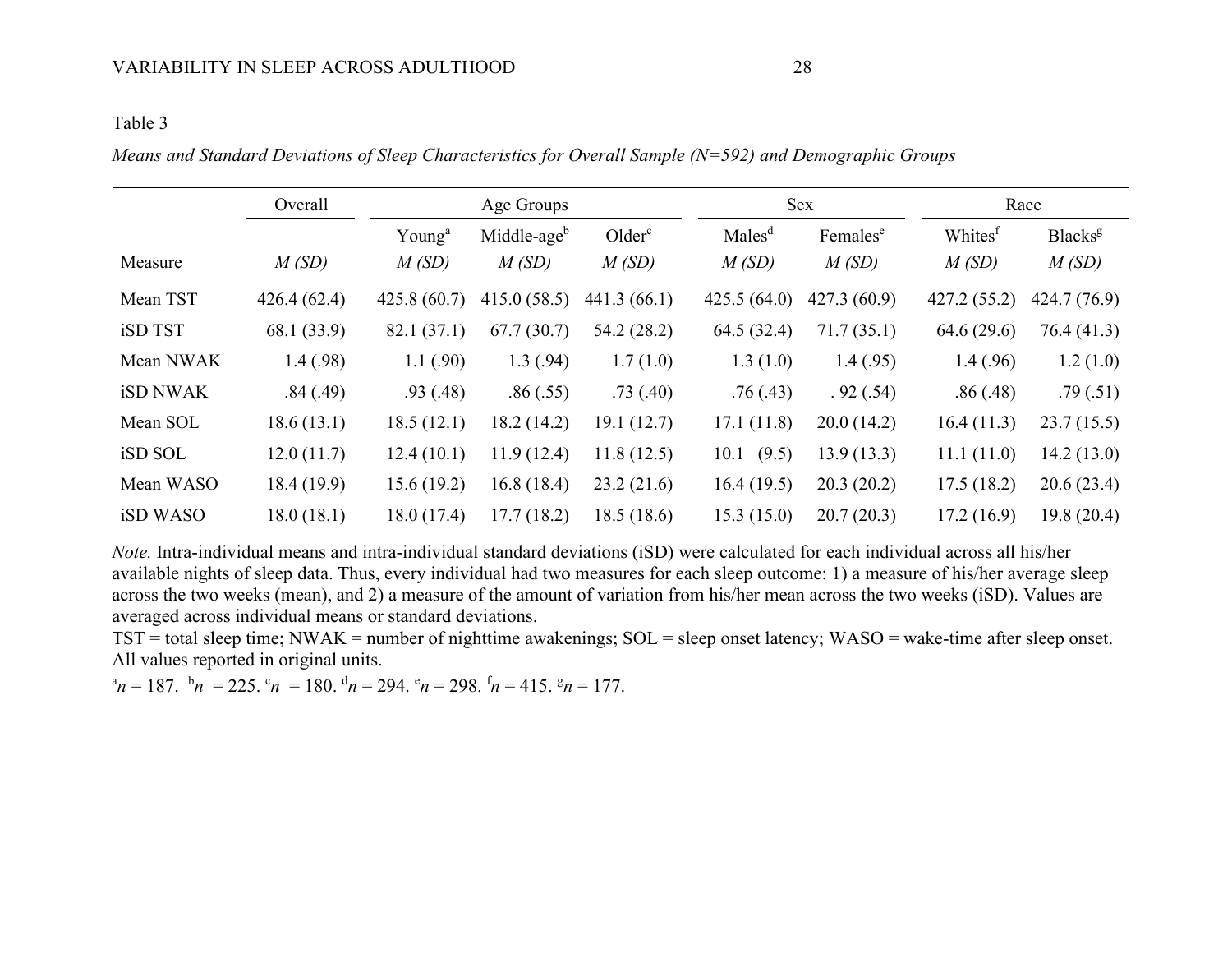### Table 3

*Means and Standard Deviations of Sleep Characteristics for Overall Sample (N=592) and Demographic Groups*

|                 | Overall     | Age Groups         |                         |                    |                    | <b>Sex</b>           | Race                |                     |  |
|-----------------|-------------|--------------------|-------------------------|--------------------|--------------------|----------------------|---------------------|---------------------|--|
|                 |             | Young <sup>a</sup> | Middle-age <sup>b</sup> | Older <sup>c</sup> | Males <sup>d</sup> | Females <sup>e</sup> | Whites <sup>f</sup> | Blacks <sup>g</sup> |  |
| Measure         | M(SD)       | M(SD)              | M(SD)                   | M(SD)              | M(SD)              | M(SD)                | M(SD)               | M(SD)               |  |
| Mean TST        | 426.4(62.4) | 425.8(60.7)        | 415.0(58.5)             | 441.3(66.1)        | 425.5(64.0)        | 427.3(60.9)          | 427.2 (55.2)        | 424.7 (76.9)        |  |
| iSD TST         | 68.1 (33.9) | 82.1(37.1)         | 67.7(30.7)              | 54.2 (28.2)        | 64.5 (32.4)        | 71.7(35.1)           | 64.6(29.6)          | 76.4(41.3)          |  |
| Mean NWAK       | 1.4(0.98)   | 1.1(0.90)          | 1.3(0.94)               | 1.7(1.0)           | 1.3(1.0)           | 1.4(0.95)            | 1.4(0.96)           | 1.2(1.0)            |  |
| <b>iSD NWAK</b> | .84(.49)    | .93(0.48)          | .86(.55)                | .73(.40)           | .76(0.43)          | .92(.54)             | .86(.48)            | .79(.51)            |  |
| Mean SOL        | 18.6(13.1)  | 18.5(12.1)         | 18.2(14.2)              | 19.1(12.7)         | 17.1(11.8)         | 20.0(14.2)           | 16.4(11.3)          | 23.7(15.5)          |  |
| iSD SOL         | 12.0(11.7)  | 12.4(10.1)         | 11.9(12.4)              | 11.8(12.5)         | 10.1 (9.5)         | 13.9(13.3)           | 11.1(11.0)          | 14.2(13.0)          |  |
| Mean WASO       | 18.4(19.9)  | 15.6(19.2)         | 16.8(18.4)              | 23.2(21.6)         | 16.4(19.5)         | 20.3(20.2)           | 17.5(18.2)          | 20.6(23.4)          |  |
| iSD WASO        | 18.0(18.1)  | 18.0(17.4)         | 17.7(18.2)              | 18.5(18.6)         | 15.3(15.0)         | 20.7(20.3)           | 17.2(16.9)          | 19.8(20.4)          |  |

*Note.* Intra-individual means and intra-individual standard deviations (iSD) were calculated for each individual across all his/her available nights of sleep data. Thus, every individual had two measures for each sleep outcome: 1) a measure of his/her average sleep across the two weeks (mean), and 2) a measure of the amount of variation from his/her mean across the two weeks (iSD). Values are averaged across individual means or standard deviations.

TST = total sleep time; NWAK = number of nighttime awakenings; SOL = sleep onset latency; WASO = wake-time after sleep onset. All values reported in original units.

 $^{\alpha}n = 187.$   $^{\beta}n = 225.$   $^{\alpha}n = 180.$   $^{\beta}n = 294.$   $^{\alpha}n = 298.$   $^{\text{f}}n = 415.$   $^{\text{g}}n = 177.$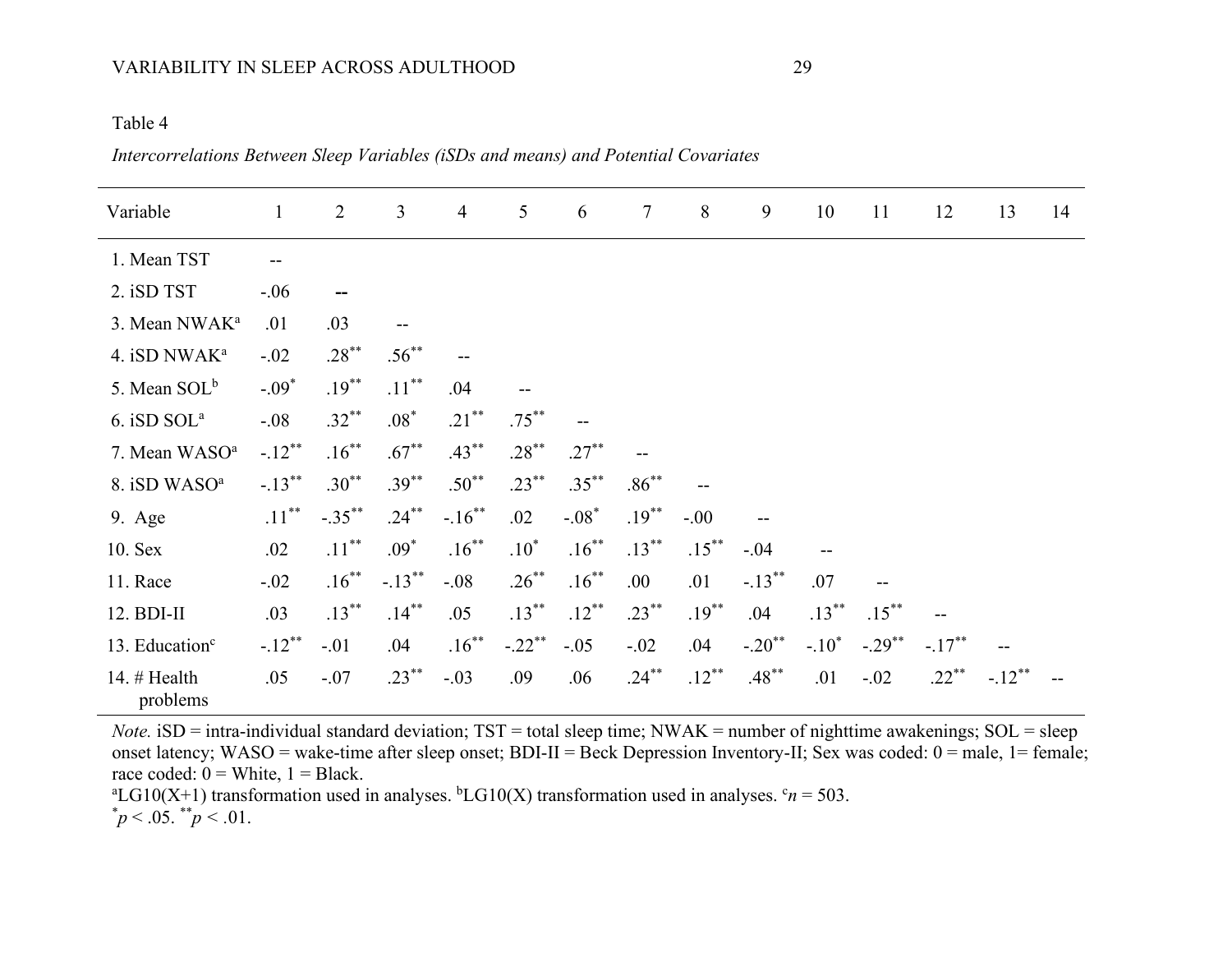#### VARIABILITY IN SLEEP ACROSS ADULTHOOD 29

#### Table 4

*Intercorrelations Between Sleep Variables (iSDs and means) and Potential Covariates*

| Variable                   | $\mathbf{1}$ | $\overline{2}$ | $\overline{3}$ | $\overline{4}$ | 5         | 6        | $\tau$   | 8        | 9                    | 10       | 11                   | 12        | 13        | 14 |
|----------------------------|--------------|----------------|----------------|----------------|-----------|----------|----------|----------|----------------------|----------|----------------------|-----------|-----------|----|
| 1. Mean TST                |              |                |                |                |           |          |          |          |                      |          |                      |           |           |    |
| 2. iSD TST                 | $-.06$       |                |                |                |           |          |          |          |                      |          |                      |           |           |    |
| 3. Mean NWAK <sup>a</sup>  | .01          | .03            | $-$            |                |           |          |          |          |                      |          |                      |           |           |    |
| 4. iSD NWAK <sup>a</sup>   | $-.02$       | $.28***$       | $.56^{**}$     |                |           |          |          |          |                      |          |                      |           |           |    |
| 5. Mean SOL <sup>b</sup>   | $-.09*$      | $.19***$       | $.11***$       | .04            |           |          |          |          |                      |          |                      |           |           |    |
| 6. iSD SOL <sup>a</sup>    | $-.08$       | $.32***$       | $.08*$         | $.21***$       | $.75***$  |          |          |          |                      |          |                      |           |           |    |
| 7. Mean WASO <sup>a</sup>  | $-.12***$    | $.16***$       | $.67***$       | $.43***$       | $.28***$  | $.27***$ |          |          |                      |          |                      |           |           |    |
| 8. iSD WASO <sup>a</sup>   | $-.13***$    | $.30***$       | $.39***$       | $.50^{**}$     | $.23***$  | $.35***$ | $.86***$ |          |                      |          |                      |           |           |    |
| 9. Age                     | $.11***$     | $-.35***$      | $.24***$       | $-.16***$      | .02       | $-.08*$  | $.19***$ | $-.00$   |                      |          |                      |           |           |    |
| 10. Sex                    | .02          | $.11***$       | $.09*$         | $.16***$       | $.10*$    | $.16***$ | $.13***$ | $.15***$ | $-.04$               |          |                      |           |           |    |
| 11. Race                   | $-.02$       | $.16***$       | $-.13***$      | $-.08$         | $.26***$  | $.16***$ | .00      | .01      | $-.13***$            | .07      |                      |           |           |    |
| 12. BDI-II                 | .03          | $.13***$       | $.14***$       | .05            | $.13***$  | $.12***$ | $.23***$ | $.19***$ | .04                  | $.13***$ | $.15***$             |           |           |    |
| 13. Education <sup>c</sup> | $-.12***$    | $-.01$         | .04            | $.16***$       | $-.22$ ** | $-.05$   | $-.02$   | .04      | $-.20$ <sup>**</sup> | $-.10^*$ | $-.29$ <sup>**</sup> | $-.17***$ |           |    |
| 14. # Health<br>problems   | .05          | $-.07$         | $.23***$       | $-.03$         | .09       | .06      | $.24***$ | $.12***$ | $.48***$             | .01      | $-.02$               | $.22***$  | $-.12***$ |    |

*Note.* iSD = intra-individual standard deviation; TST = total sleep time; NWAK = number of nighttime awakenings; SOL = sleep onset latency; WASO = wake-time after sleep onset; BDI-II = Beck Depression Inventory-II; Sex was coded: 0 = male, 1 = female; race coded:  $0 =$  White,  $1 =$  Black.

LG10(X+1) transformation used in analyses.  ${}^{\text{b}}$ LG10(X) transformation used in analyses.  ${}^{\text{c}}n = 503$ .  $p < .05.$  \* $p < .01.$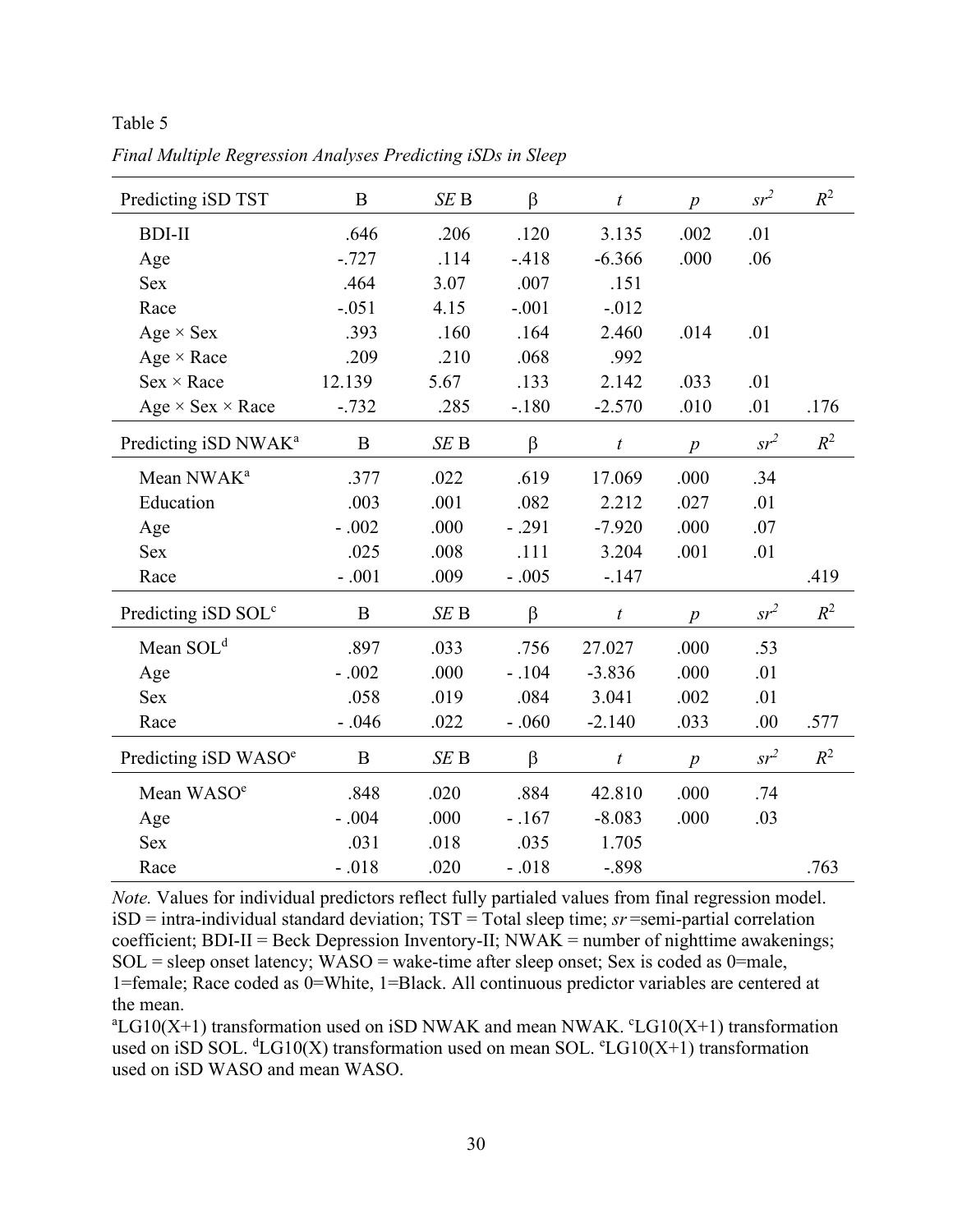Table 5

| Predicting iSD TST               | $\bf{B}$ | SEB  | $\beta$ | $\boldsymbol{t}$ | $\boldsymbol{p}$ | $sr^2$ | $R^2$ |
|----------------------------------|----------|------|---------|------------------|------------------|--------|-------|
| <b>BDI-II</b>                    | .646     | .206 | .120    | 3.135            | .002             | .01    |       |
| Age                              | $-.727$  | .114 | $-.418$ | $-6.366$         | .000             | .06    |       |
| <b>Sex</b>                       | .464     | 3.07 | .007    | .151             |                  |        |       |
| Race                             | $-.051$  | 4.15 | $-.001$ | $-.012$          |                  |        |       |
| $Age \times Sex$                 | .393     | .160 | .164    | 2.460            | .014             | .01    |       |
| Age $\times$ Race                | .209     | .210 | .068    | .992             |                  |        |       |
| $Sex \times Race$                | 12.139   | 5.67 | .133    | 2.142            | .033             | .01    |       |
| Age $\times$ Sex $\times$ Race   | $-.732$  | .285 | $-.180$ | $-2.570$         | .010             | .01    | .176  |
| Predicting iSD NWAK <sup>a</sup> | $\bf{B}$ | SEB  | $\beta$ | $\boldsymbol{t}$ | $\boldsymbol{p}$ | $sr^2$ | $R^2$ |
| Mean NWAK <sup>a</sup>           | .377     | .022 | .619    | 17.069           | .000             | .34    |       |
| Education                        | .003     | .001 | .082    | 2.212            | .027             | .01    |       |
| Age                              | $-.002$  | .000 | $-.291$ | $-7.920$         | .000             | .07    |       |
| <b>Sex</b>                       | .025     | .008 | .111    | 3.204            | .001             | .01    |       |
| Race                             | $-.001$  | .009 | $-.005$ | $-.147$          |                  |        | .419  |
| Predicting iSD SOL <sup>c</sup>  | $\bf{B}$ | SEB  | $\beta$ | t                | $\overline{p}$   | $sr^2$ | $R^2$ |
| Mean $SOLd$                      | .897     | .033 | .756    | 27.027           | .000             | .53    |       |
| Age                              | $-.002$  | .000 | $-.104$ | $-3.836$         | .000             | .01    |       |
| <b>Sex</b>                       | .058     | .019 | .084    | 3.041            | .002             | .01    |       |
| Race                             | $-.046$  | .022 | $-.060$ | $-2.140$         | .033             | .00    | .577  |
| Predicting iSD WASO <sup>e</sup> | $\bf{B}$ | SEB  | $\beta$ | t                | $\boldsymbol{p}$ | $sr^2$ | $R^2$ |
| Mean WASO <sup>e</sup>           | .848     | .020 | .884    | 42.810           | .000             | .74    |       |
| Age                              | $-.004$  | .000 | $-.167$ | $-8.083$         | .000             | .03    |       |
| <b>Sex</b>                       | .031     | .018 | .035    | 1.705            |                  |        |       |
| Race                             | $-.018$  | .020 | $-.018$ | $-.898$          |                  |        | .763  |

*Final Multiple Regression Analyses Predicting iSDs in Sleep*

*Note.* Values for individual predictors reflect fully partialed values from final regression model. iSD = intra-individual standard deviation; TST = Total sleep time; *sr* =semi-partial correlation coefficient;  $BDI-II = Beck$  Depression Inventory-II;  $NWAK =$  number of nighttime awakenings;  $SOL = sleep$  onset latency;  $WASO = wake-time$  after sleep onset; Sex is coded as 0=male, 1=female; Race coded as 0=White, 1=Black. All continuous predictor variables are centered at the mean.

 ${}^{\rm a}{\rm LG10(X+1)}$  transformation used on iSD NWAK and mean NWAK.  ${}^{\rm c}{\rm LG10(X+1)}$  transformation used on iSD SOL.  ${}^dLG10(X)$  transformation used on mean SOL.  ${}^eLG10(X+1)$  transformation used on iSD WASO and mean WASO.